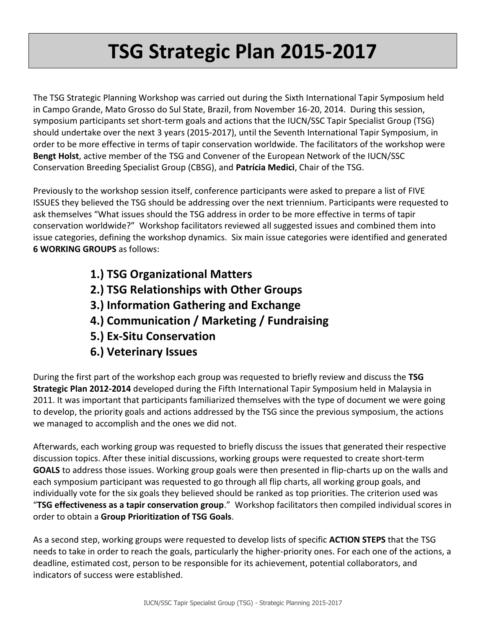# **TSG Strategic Plan 2015-2017**

The TSG Strategic Planning Workshop was carried out during the Sixth International Tapir Symposium held in Campo Grande, Mato Grosso do Sul State, Brazil, from November 16-20, 2014. During this session, symposium participants set short-term goals and actions that the IUCN/SSC Tapir Specialist Group (TSG) should undertake over the next 3 years (2015-2017), until the Seventh International Tapir Symposium, in order to be more effective in terms of tapir conservation worldwide. The facilitators of the workshop were **Bengt Holst**, active member of the TSG and Convener of the European Network of the IUCN/SSC Conservation Breeding Specialist Group (CBSG), and **Patrícia Medici**, Chair of the TSG.

Previously to the workshop session itself, conference participants were asked to prepare a list of FIVE ISSUES they believed the TSG should be addressing over the next triennium. Participants were requested to ask themselves "What issues should the TSG address in order to be more effective in terms of tapir conservation worldwide?" Workshop facilitators reviewed all suggested issues and combined them into issue categories, defining the workshop dynamics. Six main issue categories were identified and generated **6 WORKING GROUPS** as follows:

- **1.) TSG Organizational Matters**
- **2.) TSG Relationships with Other Groups**
- **3.) Information Gathering and Exchange**
- **4.) Communication / Marketing / Fundraising**
- **5.) Ex-Situ Conservation**
- **6.) Veterinary Issues**

During the first part of the workshop each group was requested to briefly review and discuss the **TSG Strategic Plan 2012-2014** developed during the Fifth International Tapir Symposium held in Malaysia in 2011. It was important that participants familiarized themselves with the type of document we were going to develop, the priority goals and actions addressed by the TSG since the previous symposium, the actions we managed to accomplish and the ones we did not.

Afterwards, each working group was requested to briefly discuss the issues that generated their respective discussion topics. After these initial discussions, working groups were requested to create short-term **GOALS** to address those issues. Working group goals were then presented in flip-charts up on the walls and each symposium participant was requested to go through all flip charts, all working group goals, and individually vote for the six goals they believed should be ranked as top priorities. The criterion used was "**TSG effectiveness as a tapir conservation group**." Workshop facilitators then compiled individual scores in order to obtain a **Group Prioritization of TSG Goals**.

As a second step, working groups were requested to develop lists of specific **ACTION STEPS** that the TSG needs to take in order to reach the goals, particularly the higher-priority ones. For each one of the actions, a deadline, estimated cost, person to be responsible for its achievement, potential collaborators, and indicators of success were established.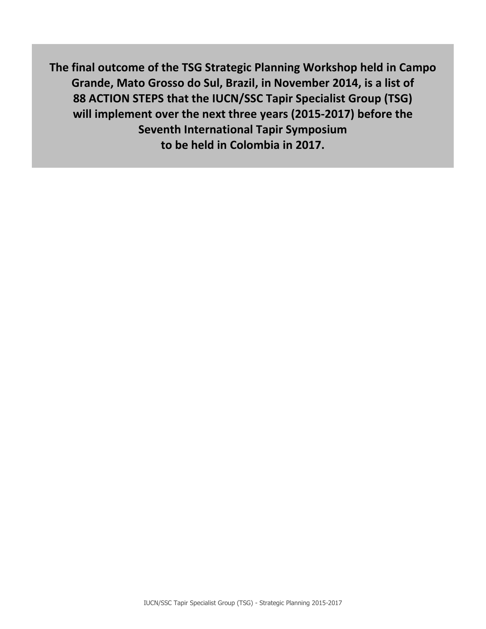**The final outcome of the TSG Strategic Planning Workshop held in Campo Grande, Mato Grosso do Sul, Brazil, in November 2014, is a list of 88 ACTION STEPS that the IUCN/SSC Tapir Specialist Group (TSG) will implement over the next three years (2015-2017) before the Seventh International Tapir Symposium to be held in Colombia in 2017.**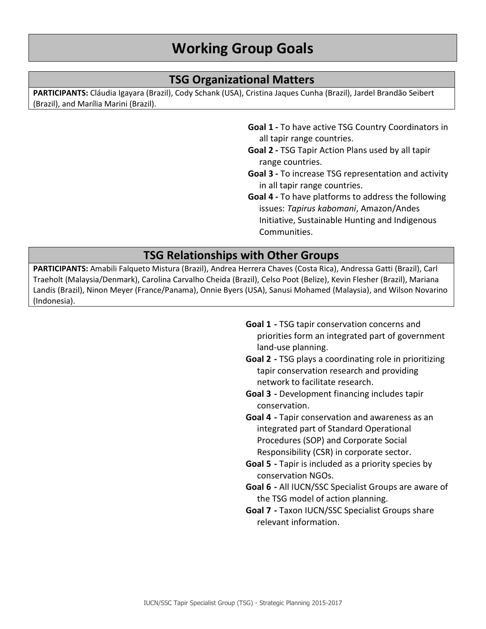# **TSG Organizational Matters**

**PARTICIPANTS:** Cláudia Igayara (Brazil), Cody Schank (USA), Cristina Jaques Cunha (Brazil), Jardel Brandão Seibert (Brazil), and Marília Marini (Brazil).

- **Goal 1 -** To have active TSG Country Coordinators in all tapir range countries.
- **Goal 2 -** TSG Tapir Action Plans used by all tapir range countries.
- **Goal 3 -** To increase TSG representation and activity in all tapir range countries.
- **Goal 4 -** To have platforms to address the following issues: *Tapirus kabomani*, Amazon/Andes Initiative, Sustainable Hunting and Indigenous Communities.

# **TSG Relationships with Other Groups**

**PARTICIPANTS:** Amabili Falqueto Mistura (Brazil), Andrea Herrera Chaves (Costa Rica), Andressa Gatti (Brazil), Carl Traeholt (Malaysia/Denmark), Carolina Carvalho Cheida (Brazil), Celso Poot (Belize), Kevin Flesher (Brazil), Mariana Landis (Brazil), Ninon Meyer (France/Panama), Onnie Byers (USA), Sanusi Mohamed (Malaysia), and Wilson Novarino (Indonesia).

- **Goal 1 -** TSG tapir conservation concerns and priorities form an integrated part of government land-use planning.
- **Goal 2 -** TSG plays a coordinating role in prioritizing tapir conservation research and providing network to facilitate research.
- **Goal 3 -** Development financing includes tapir conservation.
- **Goal 4 -** Tapir conservation and awareness as an integrated part of Standard Operational Procedures (SOP) and Corporate Social Responsibility (CSR) in corporate sector.
- **Goal 5 -** Tapir is included as a priority species by conservation NGOs.
- **Goal 6 -** All IUCN/SSC Specialist Groups are aware of the TSG model of action planning.
- **Goal 7 -** Taxon IUCN/SSC Specialist Groups share relevant information.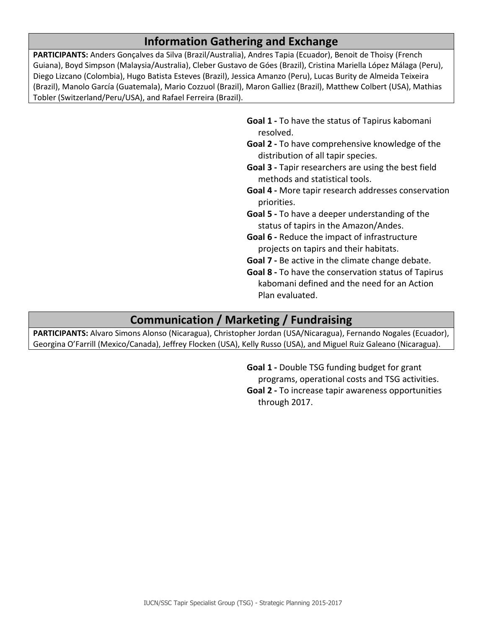# **Information Gathering and Exchange**

**PARTICIPANTS:** Anders Gonçalves da Silva (Brazil/Australia), Andres Tapia (Ecuador), Benoit de Thoisy (French Guiana), Boyd Simpson (Malaysia/Australia), Cleber Gustavo de Góes (Brazil), Cristina Mariella López Málaga (Peru), Diego Lizcano (Colombia), Hugo Batista Esteves (Brazil), Jessica Amanzo (Peru), Lucas Burity de Almeida Teixeira (Brazil), Manolo García (Guatemala), Mario Cozzuol (Brazil), Maron Galliez (Brazil), Matthew Colbert (USA), Mathias Tobler (Switzerland/Peru/USA), and Rafael Ferreira (Brazil).

> **Goal 1 -** To have the status of Tapirus kabomani resolved.

- **Goal 2 -** To have comprehensive knowledge of the distribution of all tapir species.
- **Goal 3 -** Tapir researchers are using the best field methods and statistical tools.
- **Goal 4 -** More tapir research addresses conservation priorities.
- **Goal 5 -** To have a deeper understanding of the status of tapirs in the Amazon/Andes.
- **Goal 6 -** Reduce the impact of infrastructure projects on tapirs and their habitats.
- **Goal 7 -** Be active in the climate change debate.
- **Goal 8 -** To have the conservation status of Tapirus kabomani defined and the need for an Action Plan evaluated.

# **Communication / Marketing / Fundraising**

**PARTICIPANTS:** Alvaro Simons Alonso (Nicaragua), Christopher Jordan (USA/Nicaragua), Fernando Nogales (Ecuador), Georgina O'Farrill (Mexico/Canada), Jeffrey Flocken (USA), Kelly Russo (USA), and Miguel Ruiz Galeano (Nicaragua).

> **Goal 1 -** Double TSG funding budget for grant programs, operational costs and TSG activities. **Goal 2 -** To increase tapir awareness opportunities through 2017.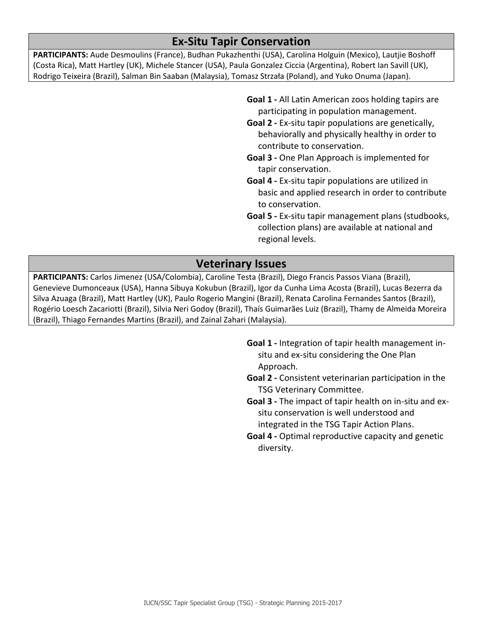# **Ex-Situ Tapir Conservation**

**PARTICIPANTS:** Aude Desmoulins (France), Budhan Pukazhenthi (USA), Carolina Holguin (Mexico), Lautjie Boshoff (Costa Rica), Matt Hartley (UK), Michele Stancer (USA), Paula Gonzalez Ciccia (Argentina), Robert Ian Savill (UK), Rodrigo Teixeira (Brazil), Salman Bin Saaban (Malaysia), Tomasz Strzała (Poland), and Yuko Onuma (Japan).

- **Goal 1 -** All Latin American zoos holding tapirs are participating in population management.
- **Goal 2 -** Ex-situ tapir populations are genetically, behaviorally and physically healthy in order to contribute to conservation.
- **Goal 3 -** One Plan Approach is implemented for tapir conservation.
- **Goal 4 -** Ex-situ tapir populations are utilized in basic and applied research in order to contribute to conservation.
- **Goal 5 -** Ex-situ tapir management plans (studbooks, collection plans) are available at national and regional levels.

# **Veterinary Issues**

**PARTICIPANTS:** Carlos Jimenez (USA/Colombia), Caroline Testa (Brazil), Diego Francis Passos Viana (Brazil), Genevieve Dumonceaux (USA), Hanna Sibuya Kokubun (Brazil), Igor da Cunha Lima Acosta (Brazil), Lucas Bezerra da Silva Azuaga (Brazil), Matt Hartley (UK), Paulo Rogerio Mangini (Brazil), Renata Carolina Fernandes Santos (Brazil), Rogério Loesch Zacariotti (Brazil), Silvia Neri Godoy (Brazil), Thaís Guimarães Luiz (Brazil), Thamy de Almeida Moreira (Brazil), Thiago Fernandes Martins (Brazil), and Zainal Zahari (Malaysia).

- **Goal 1 -** Integration of tapir health management insitu and ex-situ considering the One Plan Approach.
- **Goal 2 -** Consistent veterinarian participation in the TSG Veterinary Committee.
- **Goal 3 -** The impact of tapir health on in-situ and exsitu conservation is well understood and integrated in the TSG Tapir Action Plans.
- **Goal 4 -** Optimal reproductive capacity and genetic diversity.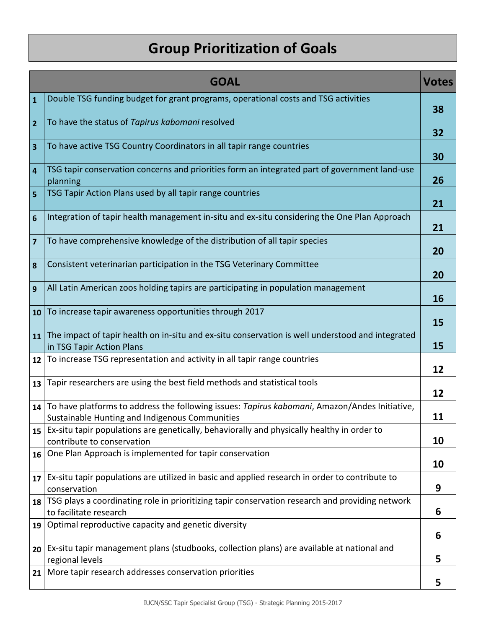# **Group Prioritization of Goals**

|                         | <b>GOAL</b>                                                                                                                                     | <b>Votes</b> |
|-------------------------|-------------------------------------------------------------------------------------------------------------------------------------------------|--------------|
| $\mathbf{1}$            | Double TSG funding budget for grant programs, operational costs and TSG activities                                                              | 38           |
| $\overline{2}$          | To have the status of Tapirus kabomani resolved                                                                                                 | 32           |
| $\overline{\mathbf{3}}$ | To have active TSG Country Coordinators in all tapir range countries                                                                            | 30           |
| $\overline{4}$          | TSG tapir conservation concerns and priorities form an integrated part of government land-use<br>planning                                       | 26           |
| $\overline{5}$          | TSG Tapir Action Plans used by all tapir range countries                                                                                        | 21           |
| $6\phantom{1}6$         | Integration of tapir health management in-situ and ex-situ considering the One Plan Approach                                                    | 21           |
| $\overline{\mathbf{z}}$ | To have comprehensive knowledge of the distribution of all tapir species                                                                        | 20           |
| 8                       | Consistent veterinarian participation in the TSG Veterinary Committee                                                                           | 20           |
| $\overline{9}$          | All Latin American zoos holding tapirs are participating in population management                                                               | 16           |
| 10                      | To increase tapir awareness opportunities through 2017                                                                                          | 15           |
|                         | $11$ The impact of tapir health on in-situ and ex-situ conservation is well understood and integrated<br>in TSG Tapir Action Plans              | 15           |
| 12                      | To increase TSG representation and activity in all tapir range countries                                                                        | 12           |
|                         | 13 Tapir researchers are using the best field methods and statistical tools                                                                     | 12           |
| 14                      | To have platforms to address the following issues: Tapirus kabomani, Amazon/Andes Initiative,<br>Sustainable Hunting and Indigenous Communities | 11           |
|                         | 15 Ex-situ tapir populations are genetically, behaviorally and physically healthy in order to<br>contribute to conservation                     | 10           |
| 16                      | One Plan Approach is implemented for tapir conservation                                                                                         | 10           |
|                         | $17$ Ex-situ tapir populations are utilized in basic and applied research in order to contribute to<br>conservation                             | 9            |
| 18                      | TSG plays a coordinating role in prioritizing tapir conservation research and providing network<br>to facilitate research                       | 6            |
| 19                      | Optimal reproductive capacity and genetic diversity                                                                                             | 6            |
| 20                      | Ex-situ tapir management plans (studbooks, collection plans) are available at national and<br>regional levels                                   | 5            |
| 21                      | More tapir research addresses conservation priorities                                                                                           | 5            |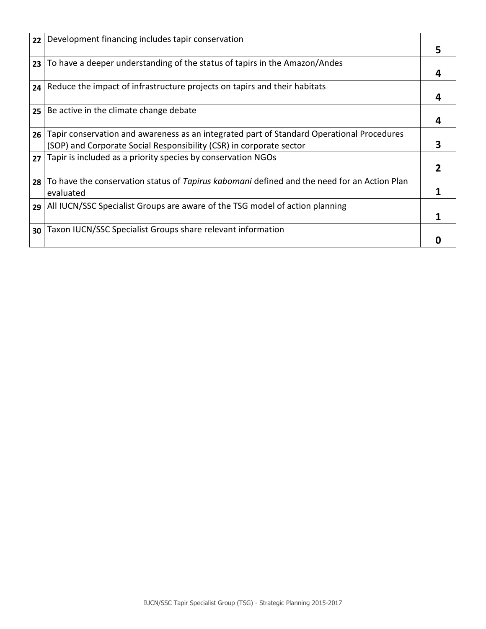| 22              | Development financing includes tapir conservation                                           |   |
|-----------------|---------------------------------------------------------------------------------------------|---|
|                 |                                                                                             | 5 |
| 23              | To have a deeper understanding of the status of tapirs in the Amazon/Andes                  |   |
|                 |                                                                                             | 4 |
| 24              | Reduce the impact of infrastructure projects on tapirs and their habitats                   |   |
|                 |                                                                                             | 4 |
| 25              | Be active in the climate change debate                                                      |   |
|                 |                                                                                             | 4 |
| 26 <sub>1</sub> | Tapir conservation and awareness as an integrated part of Standard Operational Procedures   |   |
|                 | (SOP) and Corporate Social Responsibility (CSR) in corporate sector                         | 3 |
| 27              | Tapir is included as a priority species by conservation NGOs                                |   |
|                 |                                                                                             | 2 |
| 28 <sub>1</sub> | To have the conservation status of Tapirus kabomani defined and the need for an Action Plan |   |
|                 | evaluated                                                                                   |   |
|                 | 29 All IUCN/SSC Specialist Groups are aware of the TSG model of action planning             |   |
|                 |                                                                                             |   |
| 30              | Taxon IUCN/SSC Specialist Groups share relevant information                                 |   |
|                 |                                                                                             |   |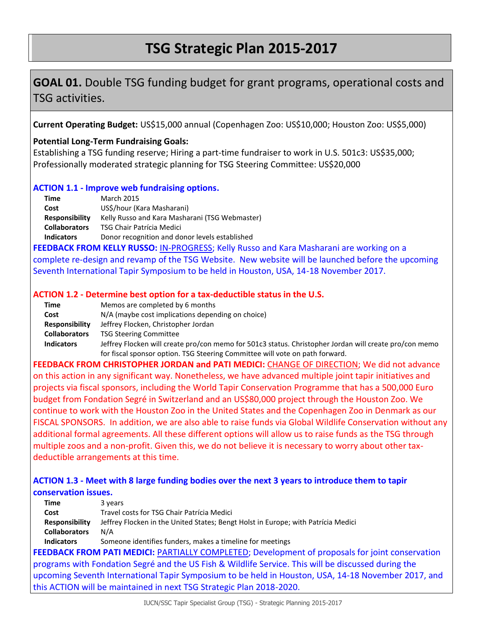# **TSG Strategic Plan 2015-2017**

# **GOAL 01.** Double TSG funding budget for grant programs, operational costs and TSG activities.

**Current Operating Budget:** US\$15,000 annual (Copenhagen Zoo: US\$10,000; Houston Zoo: US\$5,000)

### **Potential Long-Term Fundraising Goals:**

Establishing a TSG funding reserve; Hiring a part-time fundraiser to work in U.S. 501c3: US\$35,000; Professionally moderated strategic planning for TSG Steering Committee: US\$20,000

### **ACTION 1.1 - Improve web fundraising options.**

| Time                  | <b>March 2015</b>                              |
|-----------------------|------------------------------------------------|
| Cost                  | US\$/hour (Kara Masharani)                     |
| <b>Responsibility</b> | Kelly Russo and Kara Masharani (TSG Webmaster) |
| <b>Collaborators</b>  | <b>TSG Chair Patrícia Medici</b>               |
| <b>Indicators</b>     | Donor recognition and donor levels established |

**FEEDBACK FROM KELLY RUSSO:** IN-PROGRESS; Kelly Russo and Kara Masharani are working on a complete re-design and revamp of the TSG Website. New website will be launched before the upcoming Seventh International Tapir Symposium to be held in Houston, USA, 14-18 November 2017.

### **ACTION 1.2 - Determine best option for a tax-deductible status in the U.S.**

| Time                  | Memos are completed by 6 months                                                                        |
|-----------------------|--------------------------------------------------------------------------------------------------------|
| Cost                  | N/A (maybe cost implications depending on choice)                                                      |
| <b>Responsibility</b> | Jeffrey Flocken, Christopher Jordan                                                                    |
| <b>Collaborators</b>  | <b>TSG Steering Committee</b>                                                                          |
| <b>Indicators</b>     | Jeffrey Flocken will create pro/con memo for 501c3 status. Christopher Jordan will create pro/con memo |
|                       | for fiscal sponsor option. TSG Steering Committee will vote on path forward.                           |

**FEEDBACK FROM CHRISTOPHER JORDAN and PATI MEDICI:** CHANGE OF DIRECTION; We did not advance on this action in any significant way. Nonetheless, we have advanced multiple joint tapir initiatives and projects via fiscal sponsors, including the World Tapir Conservation Programme that has a 500,000 Euro budget from Fondation Segré in Switzerland and an US\$80,000 project through the Houston Zoo. We continue to work with the Houston Zoo in the United States and the Copenhagen Zoo in Denmark as our FISCAL SPONSORS. In addition, we are also able to raise funds via Global Wildlife Conservation without any additional formal agreements. All these different options will allow us to raise funds as the TSG through multiple zoos and a non-profit. Given this, we do not believe it is necessary to worry about other taxdeductible arrangements at this time.

# **ACTION 1.3 - Meet with 8 large funding bodies over the next 3 years to introduce them to tapir conservation issues.**

| <b>Time</b>           | 3 years                                                                                                |
|-----------------------|--------------------------------------------------------------------------------------------------------|
| Cost                  | Travel costs for TSG Chair Patrícia Medici                                                             |
| <b>Responsibility</b> | Jeffrey Flocken in the United States; Bengt Holst in Europe; with Patrícia Medici                      |
| <b>Collaborators</b>  | N/A                                                                                                    |
| <b>Indicators</b>     | Someone identifies funders, makes a timeline for meetings                                              |
|                       | <b>FEEDBACK FROM PATI MEDICI:</b> PARTIALLY COMPLETED; Development of proposals for joint conservation |
|                       | programs with Fondation Segré and the US Fish & Wildlife Service. This will be discussed during the    |
|                       | upcoming Seventh International Tapir Symposium to be held in Houston, USA, 14-18 November 2017, and    |
|                       | this ACTION will be maintained in next TSG Strategic Plan 2018-2020.                                   |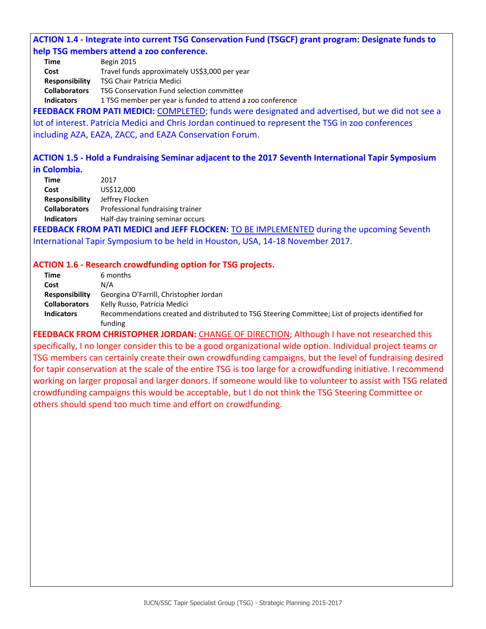### **ACTION 1.4 - Integrate into current TSG Conservation Fund (TSGCF) grant program: Designate funds to help TSG members attend a zoo conference.**

**Time** Begin 2015

**Cost** Travel funds approximately US\$3,000 per year

**Responsibility** TSG Chair Patrícia Medici

**Collaborators** TSG Conservation Fund selection committee

**Indicators** 1 TSG member per year is funded to attend a zoo conference

**FEEDBACK FROM PATI MEDICI:** COMPLETED; funds were designated and advertised, but we did not see a lot of interest. Patrícia Medici and Chris Jordan continued to represent the TSG in zoo conferences including AZA, EAZA, ZACC, and EAZA Conservation Forum.

### **ACTION 1.5 - Hold a Fundraising Seminar adjacent to the 2017 Seventh International Tapir Symposium in Colombia.**

| Time                  | 2017                             |
|-----------------------|----------------------------------|
| Cost                  | US\$12,000                       |
| <b>Responsibility</b> | Jeffrey Flocken                  |
| <b>Collaborators</b>  | Professional fundraising trainer |
| <b>Indicators</b>     | Half-day training seminar occurs |

**FEEDBACK FROM PATI MEDICI and JEFF FLOCKEN:** TO BE IMPLEMENTED during the upcoming Seventh International Tapir Symposium to be held in Houston, USA, 14-18 November 2017.

### **ACTION 1.6 - Research crowdfunding option for TSG projects.**

| Time                  | 6 months                                                                                           |
|-----------------------|----------------------------------------------------------------------------------------------------|
| Cost                  | N/A                                                                                                |
| <b>Responsibility</b> | Georgina O'Farrill, Christopher Jordan                                                             |
| <b>Collaborators</b>  | Kelly Russo, Patrícia Medici                                                                       |
| <b>Indicators</b>     | Recommendations created and distributed to TSG Steering Committee; List of projects identified for |
|                       | funding                                                                                            |

**FEEDBACK FROM CHRISTOPHER JORDAN:** CHANGE OF DIRECTION; Although I have not researched this specifically, I no longer consider this to be a good organizational wide option. Individual project teams or TSG members can certainly create their own crowdfunding campaigns, but the level of fundraising desired for tapir conservation at the scale of the entire TSG is too large for a crowdfunding initiative. I recommend working on larger proposal and larger donors. If someone would like to volunteer to assist with TSG related crowdfunding campaigns this would be acceptable, but I do not think the TSG Steering Committee or others should spend too much time and effort on crowdfunding.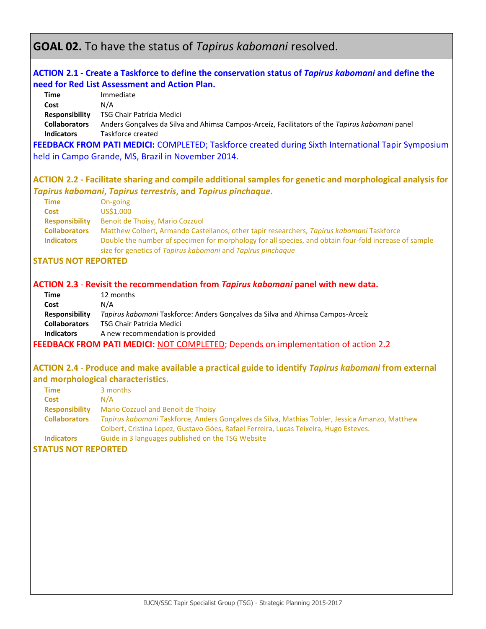# **GOAL 02.** To have the status of *Tapirus kabomani* resolved.

### **ACTION 2.1 - Create a Taskforce to define the conservation status of** *Tapirus kabomani* **and define the need for Red List Assessment and Action Plan.**

| Time                                      | Immediate                                                                                                           |
|-------------------------------------------|---------------------------------------------------------------------------------------------------------------------|
| Cost                                      | N/A                                                                                                                 |
| <b>Responsibility</b>                     | TSG Chair Patrícia Medici                                                                                           |
| <b>Collaborators</b><br><b>Indicators</b> | Anders Goncalves da Silva and Ahimsa Campos-Arceiz, Facilitators of the Tapirus kabomani panel<br>Taskforce created |

**FEEDBACK FROM PATI MEDICI:** COMPLETED; Taskforce created during Sixth International Tapir Symposium held in Campo Grande, MS, Brazil in November 2014.

### **ACTION 2.2 - Facilitate sharing and compile additional samples for genetic and morphological analysis for**  *Tapirus kabomani***,** *Tapirus terrestris***, and** *Tapirus pinchaque***.**

| <b>Time</b>           | On-going                                                                                              |
|-----------------------|-------------------------------------------------------------------------------------------------------|
| Cost                  | US\$1,000                                                                                             |
| <b>Responsibility</b> | Benoit de Thoisy, Mario Cozzuol                                                                       |
| <b>Collaborators</b>  | Matthew Colbert, Armando Castellanos, other tapir researchers, Tapirus kabomani Taskforce             |
| <b>Indicators</b>     | Double the number of specimen for morphology for all species, and obtain four-fold increase of sample |
|                       | size for genetics of Tapirus kabomani and Tapirus pinchaque                                           |

#### **STATUS NOT REPORTED**

### **ACTION 2.3** - **Revisit the recommendation from** *Tapirus kabomani* **panel with new data.**

| Time                  | 12 months                                                                         |
|-----------------------|-----------------------------------------------------------------------------------|
| Cost                  | N/A                                                                               |
| <b>Responsibility</b> | Tapirus kabomani Taskforce: Anders Goncalves da Silva and Ahimsa Campos-Arceiz    |
| <b>Collaborators</b>  | TSG Chair Patrícia Medici                                                         |
| <b>Indicators</b>     | A new recommendation is provided                                                  |
|                       | FEEDBACK FROM PATI MEDICI: NOT COMPLETED; Depends on implementation of action 2.2 |

### **ACTION 2.4** - **Produce and make available a practical guide to identify** *Tapirus kabomani* **from external and morphological characteristics.**

| <b>Time</b>           | 3 months                                                                                       |
|-----------------------|------------------------------------------------------------------------------------------------|
| <b>Cost</b>           | N/A                                                                                            |
| <b>Responsibility</b> | Mario Cozzuol and Benoit de Thoisy                                                             |
| <b>Collaborators</b>  | Tapirus kabomani Taskforce, Anders Gonçalves da Silva, Mathias Tobler, Jessica Amanzo, Matthew |
|                       | Colbert, Cristina Lopez, Gustavo Góes, Rafael Ferreira, Lucas Teixeira, Hugo Esteves.          |
| <b>Indicators</b>     | Guide in 3 languages published on the TSG Website                                              |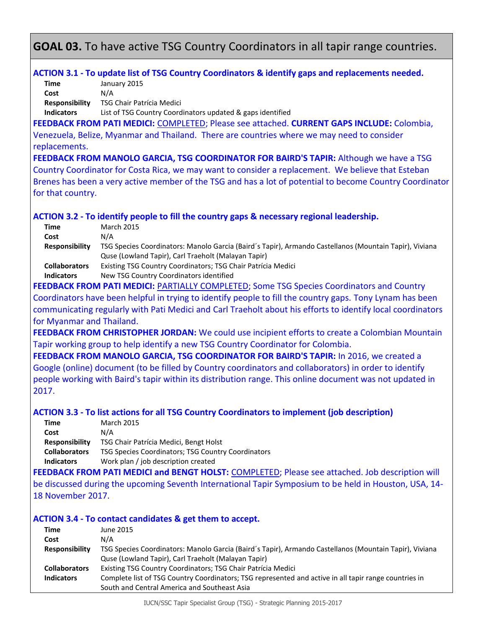# **GOAL 03.** To have active TSG Country Coordinators in all tapir range countries.

### **ACTION 3.1 - To update list of TSG Country Coordinators & identify gaps and replacements needed.**

**Time** January 2015 **Cost** N/A **Responsibility** TSG Chair Patrícia Medici

**Indicators** List of TSG Country Coordinators updated & gaps identified

**FEEDBACK FROM PATI MEDICI:** COMPLETED; Please see attached. **CURRENT GAPS INCLUDE:** Colombia, Venezuela, Belize, Myanmar and Thailand.There are countries where we may need to consider replacements.

**FEEDBACK FROM MANOLO GARCIA, TSG COORDINATOR FOR BAIRD'S TAPIR:** Although we have a TSG Country Coordinator for Costa Rica, we may want to consider a replacement. We believe that Esteban Brenes has been a very active member of the TSG and has a lot of potential to become Country Coordinator for that country.

### **ACTION 3.2 - To identify people to fill the country gaps & necessary regional leadership.**

| Time                  | March 2015                                                                                             |
|-----------------------|--------------------------------------------------------------------------------------------------------|
| Cost                  | N/A                                                                                                    |
| <b>Responsibility</b> | TSG Species Coordinators: Manolo Garcia (Baird's Tapir), Armando Castellanos (Mountain Tapir), Viviana |
|                       | Quse (Lowland Tapir), Carl Traeholt (Malayan Tapir)                                                    |
| <b>Collaborators</b>  | Existing TSG Country Coordinators; TSG Chair Patrícia Medici                                           |
| <b>Indicators</b>     | New TSG Country Coordinators identified                                                                |

**FEEDBACK FROM PATI MEDICI:** PARTIALLY COMPLETED; Some TSG Species Coordinators and Country Coordinators have been helpful in trying to identify people to fill the country gaps. Tony Lynam has been communicating regularly with Pati Medici and Carl Traeholt about his efforts to identify local coordinators for Myanmar and Thailand.

**FEEDBACK FROM CHRISTOPHER JORDAN:** We could use incipient efforts to create a Colombian Mountain Tapir working group to help identify a new TSG Country Coordinator for Colombia.

**FEEDBACK FROM MANOLO GARCIA, TSG COORDINATOR FOR BAIRD'S TAPIR:** In 2016, we created a Google (online) document (to be filled by Country coordinators and collaborators) in order to identify people working with Baird's tapir within its distribution range. This online document was not updated in 2017.

### **ACTION 3.3 - To list actions for all TSG Country Coordinators to implement (job description)**

| Time                  | <b>March 2015</b>                                  |
|-----------------------|----------------------------------------------------|
| Cost                  | N/A                                                |
| <b>Responsibility</b> | TSG Chair Patrícia Medici, Bengt Holst             |
| <b>Collaborators</b>  | TSG Species Coordinators; TSG Country Coordinators |
| <b>Indicators</b>     | Work plan / job description created                |

**FEEDBACK FROM PATI MEDICI and BENGT HOLST:** COMPLETED; Please see attached. Job description will be discussed during the upcoming Seventh International Tapir Symposium to be held in Houston, USA, 14- 18 November 2017.

### **ACTION 3.4 - To contact candidates & get them to accept.**

| Time                  | June 2015                                                                                              |
|-----------------------|--------------------------------------------------------------------------------------------------------|
| Cost                  | N/A                                                                                                    |
| <b>Responsibility</b> | TSG Species Coordinators: Manolo Garcia (Baird's Tapir), Armando Castellanos (Mountain Tapir), Viviana |
|                       | Quse (Lowland Tapir), Carl Traeholt (Malayan Tapir)                                                    |
| <b>Collaborators</b>  | Existing TSG Country Coordinators; TSG Chair Patrícia Medici                                           |
| <b>Indicators</b>     | Complete list of TSG Country Coordinators; TSG represented and active in all tapir range countries in  |
|                       | South and Central America and Southeast Asia                                                           |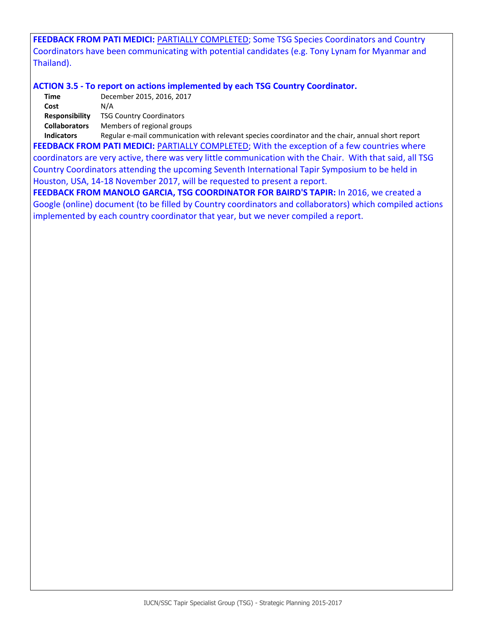**FEEDBACK FROM PATI MEDICI:** PARTIALLY COMPLETED; Some TSG Species Coordinators and Country Coordinators have been communicating with potential candidates (e.g. Tony Lynam for Myanmar and Thailand).

### **ACTION 3.5 - To report on actions implemented by each TSG Country Coordinator.**

**Time** December 2015, 2016, 2017 **Cost** N/A **Responsibility** TSG Country Coordinators **Collaborators** Members of regional groups

**Indicators** Regular e-mail communication with relevant species coordinator and the chair, annual short report FEEDBACK FROM PATI MEDICI: **PARTIALLY COMPLETED**; With the exception of a few countries where coordinators are very active, there was very little communication with the Chair. With that said, all TSG Country Coordinators attending the upcoming Seventh International Tapir Symposium to be held in Houston, USA, 14-18 November 2017, will be requested to present a report.

**FEEDBACK FROM MANOLO GARCIA, TSG COORDINATOR FOR BAIRD'S TAPIR:** In 2016, we created a Google (online) document (to be filled by Country coordinators and collaborators) which compiled actions implemented by each country coordinator that year, but we never compiled a report.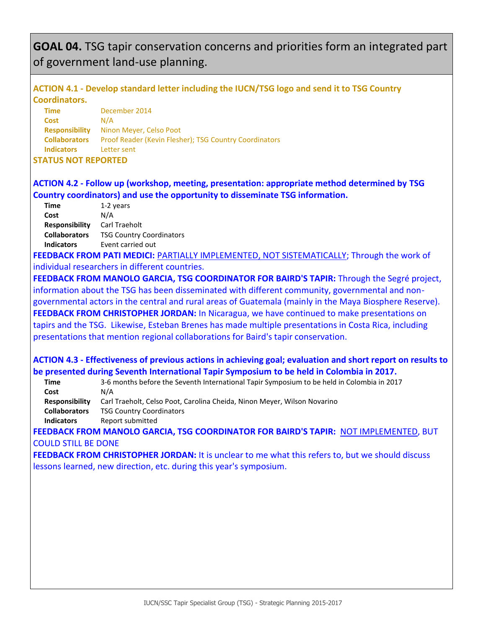# **GOAL 04.** TSG tapir conservation concerns and priorities form an integrated part of government land-use planning.

# **ACTION 4.1 - Develop standard letter including the IUCN/TSG logo and send it to TSG Country Coordinators.**

| Time                       | December 2014                                          |
|----------------------------|--------------------------------------------------------|
| <b>Cost</b>                | N/A                                                    |
| <b>Responsibility</b>      | Ninon Meyer, Celso Poot                                |
| <b>Collaborators</b>       | Proof Reader (Kevin Flesher); TSG Country Coordinators |
| <b>Indicators</b>          | Letter sent                                            |
| <b>STATUS NOT REPORTED</b> |                                                        |

# **ACTION 4.2 - Follow up (workshop, meeting, presentation: appropriate method determined by TSG Country coordinators) and use the opportunity to disseminate TSG information.**

| <b>Time</b>           | 1-2 years                       |
|-----------------------|---------------------------------|
| Cost                  | N/A                             |
| <b>Responsibility</b> | Carl Traeholt                   |
| <b>Collaborators</b>  | <b>TSG Country Coordinators</b> |
| <b>Indicators</b>     | Event carried out               |
|                       |                                 |

**FEEDBACK FROM PATI MEDICI:** PARTIALLY IMPLEMENTED, NOT SISTEMATICALLY; Through the work of individual researchers in different countries.

**FEEDBACK FROM MANOLO GARCIA, TSG COORDINATOR FOR BAIRD'S TAPIR:** Through the Segré project, information about the TSG has been disseminated with different community, governmental and nongovernmental actors in the central and rural areas of Guatemala (mainly in the Maya Biosphere Reserve). **FEEDBACK FROM CHRISTOPHER JORDAN:** In Nicaragua, we have continued to make presentations on tapirs and the TSG. Likewise, Esteban Brenes has made multiple presentations in Costa Rica, including presentations that mention regional collaborations for Baird's tapir conservation.

# **ACTION 4.3 - Effectiveness of previous actions in achieving goal; evaluation and short report on results to be presented during Seventh International Tapir Symposium to be held in Colombia in 2017.**

**Time** 3-6 months before the Seventh International Tapir Symposium to be held in Colombia in 2017 **Cost** N/A **Responsibility** Carl Traeholt, Celso Poot, Carolina Cheida, Ninon Meyer, Wilson Novarino

**Collaborators** TSG Country Coordinators

**Indicators** Report submitted

**FEEDBACK FROM MANOLO GARCIA, TSG COORDINATOR FOR BAIRD'S TAPIR:** NOT IMPLEMENTED, BUT COULD STILL BE DONE

**FEEDBACK FROM CHRISTOPHER JORDAN:** It is unclear to me what this refers to, but we should discuss lessons learned, new direction, etc. during this year's symposium.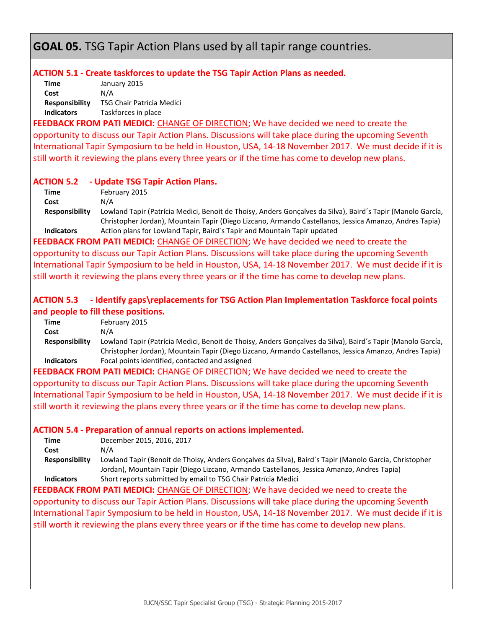**GOAL 05.** TSG Tapir Action Plans used by all tapir range countries.

### **ACTION 5.1 - Create taskforces to update the TSG Tapir Action Plans as needed.**

**Time** January 2015 **Cost** N/A **Responsibility** TSG Chair Patrícia Medici **Indicators** Taskforces in place

**FEEDBACK FROM PATI MEDICI:** CHANGE OF DIRECTION; We have decided we need to create the opportunity to discuss our Tapir Action Plans. Discussions will take place during the upcoming Seventh International Tapir Symposium to be held in Houston, USA, 14-18 November 2017. We must decide if it is still worth it reviewing the plans every three years or if the time has come to develop new plans.

### **ACTION 5.2 - Update TSG Tapir Action Plans.**

**Time** February 2015 **Cost** N/A

**Responsibility** Lowland Tapir (Patrícia Medici, Benoit de Thoisy, Anders Gonçalves da Silva), Baird´s Tapir (Manolo García, Christopher Jordan), Mountain Tapir (Diego Lizcano, Armando Castellanos, Jessica Amanzo, Andres Tapia) **Indicators** Action plans for Lowland Tapir, Baird´s Tapir and Mountain Tapir updated

**FEEDBACK FROM PATI MEDICI:** CHANGE OF DIRECTION; We have decided we need to create the opportunity to discuss our Tapir Action Plans. Discussions will take place during the upcoming Seventh International Tapir Symposium to be held in Houston, USA, 14-18 November 2017. We must decide if it is still worth it reviewing the plans every three years or if the time has come to develop new plans.

# **ACTION 5.3 - Identify gaps\replacements for TSG Action Plan Implementation Taskforce focal points and people to fill these positions.**

| Time                  | February 2015                                                                                               |
|-----------------------|-------------------------------------------------------------------------------------------------------------|
| Cost                  | N/A                                                                                                         |
| <b>Responsibility</b> | Lowland Tapir (Patrícia Medici, Benoit de Thoisy, Anders Gonçalves da Silva), Baird's Tapir (Manolo García, |
|                       | Christopher Jordan), Mountain Tapir (Diego Lizcano, Armando Castellanos, Jessica Amanzo, Andres Tapia)      |
| <b>Indicators</b>     | Focal points identified, contacted and assigned                                                             |

**FEEDBACK FROM PATI MEDICI:** CHANGE OF DIRECTION; We have decided we need to create the opportunity to discuss our Tapir Action Plans. Discussions will take place during the upcoming Seventh International Tapir Symposium to be held in Houston, USA, 14-18 November 2017. We must decide if it is still worth it reviewing the plans every three years or if the time has come to develop new plans.

# **ACTION 5.4 - Preparation of annual reports on actions implemented.**

| Time                  | December 2015, 2016, 2017                                                                              |
|-----------------------|--------------------------------------------------------------------------------------------------------|
| Cost                  | N/A                                                                                                    |
| <b>Responsibility</b> | Lowland Tapir (Benoit de Thoisy, Anders Goncalves da Silva), Baird's Tapir (Manolo García, Christopher |
|                       | Jordan), Mountain Tapir (Diego Lizcano, Armando Castellanos, Jessica Amanzo, Andres Tapia)             |
| <b>Indicators</b>     | Short reports submitted by email to TSG Chair Patrícia Medici                                          |

**FEEDBACK FROM PATI MEDICI:** CHANGE OF DIRECTION; We have decided we need to create the opportunity to discuss our Tapir Action Plans. Discussions will take place during the upcoming Seventh International Tapir Symposium to be held in Houston, USA, 14-18 November 2017. We must decide if it is still worth it reviewing the plans every three years or if the time has come to develop new plans.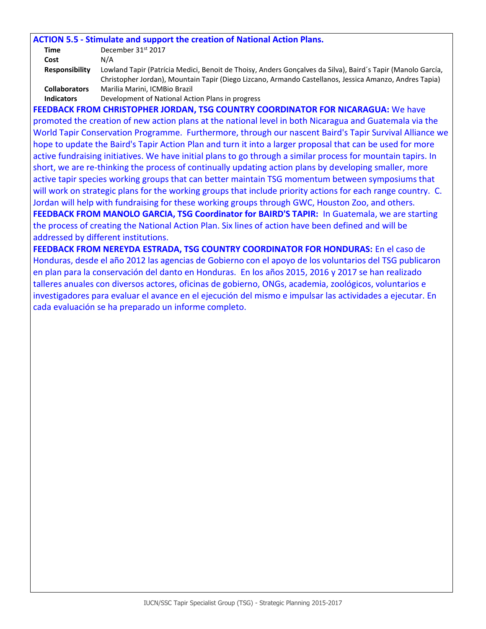#### **ACTION 5.5 - Stimulate and support the creation of National Action Plans.**

| Time                  | December 31 <sup>st</sup> 2017                                                                              |
|-----------------------|-------------------------------------------------------------------------------------------------------------|
| Cost                  | N/A                                                                                                         |
| <b>Responsibility</b> | Lowland Tapir (Patrícia Medici, Benoit de Thoisy, Anders Goncalves da Silva), Baird's Tapir (Manolo García, |
|                       | Christopher Jordan), Mountain Tapir (Diego Lizcano, Armando Castellanos, Jessica Amanzo, Andres Tapia)      |
| <b>Collaborators</b>  | Marilia Marini, ICMBio Brazil                                                                               |
| <b>Indicators</b>     | Development of National Action Plans in progress                                                            |

**FEEDBACK FROM CHRISTOPHER JORDAN, TSG COUNTRY COORDINATOR FOR NICARAGUA:** We have promoted the creation of new action plans at the national level in both Nicaragua and Guatemala via the World Tapir Conservation Programme. Furthermore, through our nascent Baird's Tapir Survival Alliance we hope to update the Baird's Tapir Action Plan and turn it into a larger proposal that can be used for more active fundraising initiatives. We have initial plans to go through a similar process for mountain tapirs. In short, we are re-thinking the process of continually updating action plans by developing smaller, more active tapir species working groups that can better maintain TSG momentum between symposiums that will work on strategic plans for the working groups that include priority actions for each range country. C. Jordan will help with fundraising for these working groups through GWC, Houston Zoo, and others. **FEEDBACK FROM MANOLO GARCIA, TSG Coordinator for BAIRD'S TAPIR:** In Guatemala, we are starting the process of creating the National Action Plan. Six lines of action have been defined and will be addressed by different institutions.

**FEEDBACK FROM NEREYDA ESTRADA, TSG COUNTRY COORDINATOR FOR HONDURAS:** En el caso de Honduras, desde el año 2012 las agencias de Gobierno con el apoyo de los voluntarios del TSG publicaron en plan para la conservación del danto en Honduras. En los años 2015, 2016 y 2017 se han realizado talleres anuales con diversos actores, oficinas de gobierno, ONGs, academia, zoológicos, voluntarios e investigadores para evaluar el avance en el ejecución del mismo e impulsar las actividades a ejecutar. En cada evaluación se ha preparado un informe completo.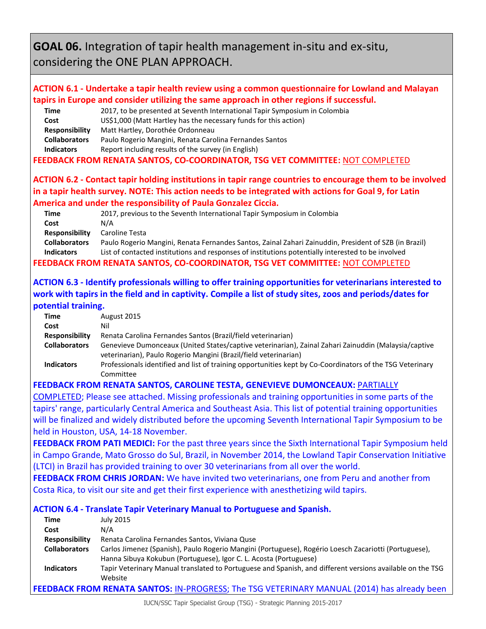**GOAL 06.** Integration of tapir health management in-situ and ex-situ, considering the ONE PLAN APPROACH.

# **ACTION 6.1 - Undertake a tapir health review using a common questionnaire for Lowland and Malayan tapirs in Europe and consider utilizing the same approach in other regions if successful.**

| Time                  | 2017, to be presented at Seventh International Tapir Symposium in Colombia           |
|-----------------------|--------------------------------------------------------------------------------------|
| Cost                  | US\$1,000 (Matt Hartley has the necessary funds for this action)                     |
| <b>Responsibility</b> | Matt Hartley, Dorothée Ordonneau                                                     |
| <b>Collaborators</b>  | Paulo Rogerio Mangini, Renata Carolina Fernandes Santos                              |
| <b>Indicators</b>     | Report including results of the survey (in English)                                  |
|                       | <b>FEEDBACK FROM RENATA SANTOS, CO-COORDINATOR, TSG VET COMMITTEE: NOT COMPLETED</b> |

**ACTION 6.2 - Contact tapir holding institutions in tapir range countries to encourage them to be involved in a tapir health survey. NOTE: This action needs to be integrated with actions for Goal 9, for Latin America and under the responsibility of Paula Gonzalez Ciccia.**

**Time** 2017, previous to the Seventh International Tapir Symposium in Colombia **Cost** N/A **Responsibility** Caroline Testa **Collaborators** Paulo Rogerio Mangini, Renata Fernandes Santos, Zainal Zahari Zainuddin, President of SZB (in Brazil) **Indicators** List of contacted institutions and responses of institutions potentially interested to be involved

**FEEDBACK FROM RENATA SANTOS, CO-COORDINATOR, TSG VET COMMITTEE:** NOT COMPLETED

# **ACTION 6.3 - Identify professionals willing to offer training opportunities for veterinarians interested to work with tapirs in the field and in captivity. Compile a list of study sites, zoos and periods/dates for potential training.**

| Time                  | August 2015                                                                                               |
|-----------------------|-----------------------------------------------------------------------------------------------------------|
| Cost                  | Nil                                                                                                       |
| <b>Responsibility</b> | Renata Carolina Fernandes Santos (Brazil/field veterinarian)                                              |
| <b>Collaborators</b>  | Genevieve Dumonceaux (United States/captive veterinarian), Zainal Zahari Zainuddin (Malaysia/captive      |
|                       | veterinarian), Paulo Rogerio Mangini (Brazil/field veterinarian)                                          |
| <b>Indicators</b>     | Professionals identified and list of training opportunities kept by Co-Coordinators of the TSG Veterinary |
|                       | Committee                                                                                                 |

**FEEDBACK FROM RENATA SANTOS, CAROLINE TESTA, GENEVIEVE DUMONCEAUX:** PARTIALLY

COMPLETED; Please see attached. Missing professionals and training opportunities in some parts of the tapirs' range, particularly Central America and Southeast Asia. This list of potential training opportunities will be finalized and widely distributed before the upcoming Seventh International Tapir Symposium to be held in Houston, USA, 14-18 November.

**FEEDBACK FROM PATI MEDICI:** For the past three years since the Sixth International Tapir Symposium held in Campo Grande, Mato Grosso do Sul, Brazil, in November 2014, the Lowland Tapir Conservation Initiative (LTCI) in Brazil has provided training to over 30 veterinarians from all over the world.

**FEEDBACK FROM CHRIS JORDAN:** We have invited two veterinarians, one from Peru and another from Costa Rica, to visit our site and get their first experience with anesthetizing wild tapirs.

### **ACTION 6.4 - Translate Tapir Veterinary Manual to Portuguese and Spanish.**

| <b>Time</b>           | <b>July 2015</b>                                                                                          |
|-----------------------|-----------------------------------------------------------------------------------------------------------|
| Cost                  | N/A                                                                                                       |
| <b>Responsibility</b> | Renata Carolina Fernandes Santos, Viviana Quse                                                            |
| <b>Collaborators</b>  | Carlos Jimenez (Spanish), Paulo Rogerio Mangini (Portuguese), Rogério Loesch Zacariotti (Portuguese),     |
|                       | Hanna Sibuya Kokubun (Portuguese), Igor C. L. Acosta (Portuguese)                                         |
| <b>Indicators</b>     | Tapir Veterinary Manual translated to Portuguese and Spanish, and different versions available on the TSG |
|                       | Website                                                                                                   |
|                       | FEEDBACK FROM RENATA SANTOS: IN-PROGRESS; The TSG VETERINARY MANUAL (2014) has already been               |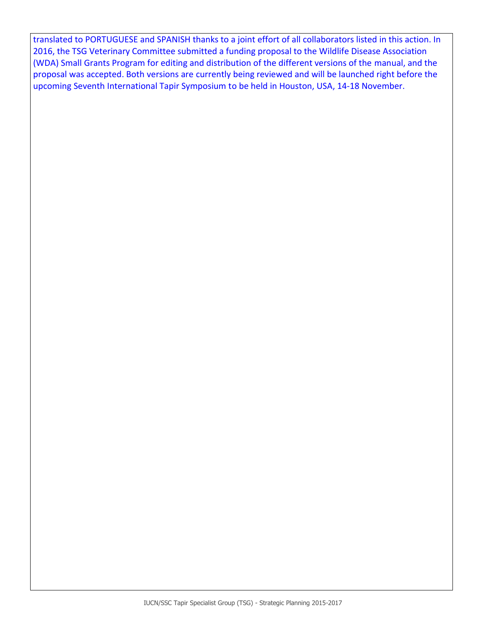translated to PORTUGUESE and SPANISH thanks to a joint effort of all collaborators listed in this action. In 2016, the TSG Veterinary Committee submitted a funding proposal to the Wildlife Disease Association (WDA) Small Grants Program for editing and distribution of the different versions of the manual, and the proposal was accepted. Both versions are currently being reviewed and will be launched right before the upcoming Seventh International Tapir Symposium to be held in Houston, USA, 14-18 November.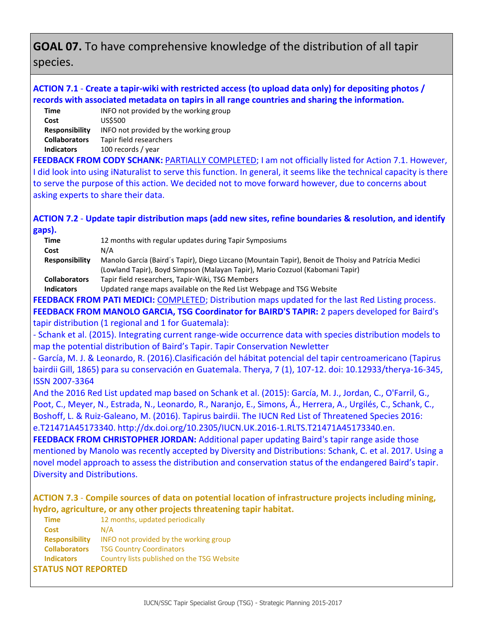# **GOAL 07.** To have comprehensive knowledge of the distribution of all tapir species.

# **ACTION 7.1** - **Create a tapir-wiki with restricted access (to upload data only) for depositing photos / records with associated metadata on tapirs in all range countries and sharing the information.**

| Time                 | INFO not provided by the working group |
|----------------------|----------------------------------------|
| Cost                 | US\$500                                |
| Responsibility       | INFO not provided by the working group |
| <b>Collaborators</b> | Tapir field researchers                |
| <b>Indicators</b>    | 100 records / year                     |
|                      |                                        |

**FEEDBACK FROM CODY SCHANK: PARTIALLY COMPLETED; I am not officially listed for Action 7.1. However,** I did look into using iNaturalist to serve this function. In general, it seems like the technical capacity is there to serve the purpose of this action. We decided not to move forward however, due to concerns about asking experts to share their data.

**ACTION 7.2** - **Update tapir distribution maps (add new sites, refine boundaries & resolution, and identify gaps).**

| Time                  | 12 months with regular updates during Tapir Symposiums                                              |
|-----------------------|-----------------------------------------------------------------------------------------------------|
| Cost                  | N/A                                                                                                 |
| <b>Responsibility</b> | Manolo García (Baird's Tapir), Diego Lizcano (Mountain Tapir), Benoit de Thoisy and Patrícia Medici |
|                       | (Lowland Tapir), Boyd Simpson (Malayan Tapir), Mario Cozzuol (Kabomani Tapir)                       |
| <b>Collaborators</b>  | Tapir field researchers, Tapir-Wiki, TSG Members                                                    |
| Indicators            | Undeted range mans available on the Red List Webnage and TCC Website                                |

**Indicators** Updated range maps available on the Red List Webpage and TSG Website

**FEEDBACK FROM PATI MEDICI:** COMPLETED; Distribution maps updated for the last Red Listing process. **FEEDBACK FROM MANOLO GARCIA, TSG Coordinator for BAIRD'S TAPIR:** 2 papers developed for Baird's tapir distribution (1 regional and 1 for Guatemala):

- Schank et al. (2015). Integrating current range-wide occurrence data with species distribution models to map the potential distribution of Baird's Tapir. Tapir Conservation Newletter

- García, M. J. & Leonardo, R. (2016).Clasificación del hábitat potencial del tapir centroamericano (Tapirus bairdii Gill, 1865) para su conservación en Guatemala. Therya, 7 (1), 107-12. doi: 10.12933/therya-16-345, ISSN 2007-3364

And the 2016 Red List updated map based on Schank et al. (2015): García, M. J., Jordan, C., O'Farril, G., Poot, C., Meyer, N., Estrada, N., Leonardo, R., Naranjo, E., Simons, Á., Herrera, A., Urgilés, C., Schank, C., Boshoff, L. & Ruiz-Galeano, M. (2016). Tapirus bairdii. The IUCN Red List of Threatened Species 2016: e.T21471A45173340. http://dx.doi.org/10.2305/IUCN.UK.2016-1.RLTS.T21471A45173340.en.

**FEEDBACK FROM CHRISTOPHER JORDAN:** Additional paper updating Baird's tapir range aside those mentioned by Manolo was recently accepted by Diversity and Distributions: Schank, C. et al. 2017. Using a novel model approach to assess the distribution and conservation status of the endangered Baird's tapir. Diversity and Distributions.

**ACTION 7.3** - **Compile sources of data on potential location of infrastructure projects including mining, hydro, agriculture, or any other projects threatening tapir habitat.**

| <b>Time</b>           | 12 months, updated periodically            |
|-----------------------|--------------------------------------------|
| <b>Cost</b>           | N/A                                        |
| <b>Responsibility</b> | INFO not provided by the working group     |
| <b>Collaborators</b>  | <b>TSG Country Coordinators</b>            |
| <b>Indicators</b>     | Country lists published on the TSG Website |
| STATUS NOT RFPORTFD   |                                            |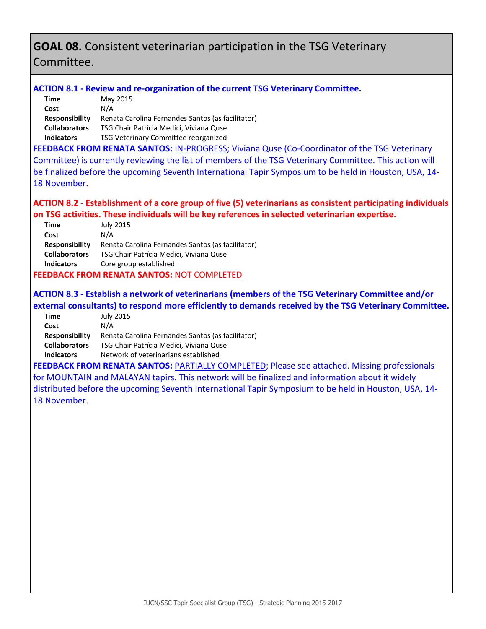# **GOAL 08.** Consistent veterinarian participation in the TSG Veterinary Committee.

### **ACTION 8.1 - Review and re-organization of the current TSG Veterinary Committee.**

| Time                  | May 2015                                          |
|-----------------------|---------------------------------------------------|
| Cost                  | N/A                                               |
| <b>Responsibility</b> | Renata Carolina Fernandes Santos (as facilitator) |
| <b>Collaborators</b>  | TSG Chair Patrícia Medici, Viviana Quse           |
| <b>Indicators</b>     | <b>TSG Veterinary Committee reorganized</b>       |

**FEEDBACK FROM RENATA SANTOS:** IN-PROGRESS; Viviana Quse (Co-Coordinator of the TSG Veterinary Committee) is currently reviewing the list of members of the TSG Veterinary Committee. This action will be finalized before the upcoming Seventh International Tapir Symposium to be held in Houston, USA, 14- 18 November.

### **ACTION 8.2** - **Establishment of a core group of five (5) veterinarians as consistent participating individuals on TSG activities. These individuals will be key references in selected veterinarian expertise.**

| Time                 | <b>July 2015</b>                                  |
|----------------------|---------------------------------------------------|
| Cost                 | N/A                                               |
| Responsibility       | Renata Carolina Fernandes Santos (as facilitator) |
| <b>Collaborators</b> | TSG Chair Patrícia Medici, Viviana Quse           |
| <b>Indicators</b>    | Core group established                            |
|                      |                                                   |

### **FEEDBACK FROM RENATA SANTOS:** NOT COMPLETED

# **ACTION 8.3 - Establish a network of veterinarians (members of the TSG Veterinary Committee and/or external consultants) to respond more efficiently to demands received by the TSG Veterinary Committee.**

| Time                  | July 2015                                         |
|-----------------------|---------------------------------------------------|
| Cost                  | N/A                                               |
| <b>Responsibility</b> | Renata Carolina Fernandes Santos (as facilitator) |
| <b>Collaborators</b>  | TSG Chair Patrícia Medici, Viviana Quse           |
| <b>Indicators</b>     | Network of veterinarians established              |

FEEDBACK FROM RENATA SANTOS: PARTIALLY COMPLETED; Please see attached. Missing professionals for MOUNTAIN and MALAYAN tapirs. This network will be finalized and information about it widely distributed before the upcoming Seventh International Tapir Symposium to be held in Houston, USA, 14- 18 November.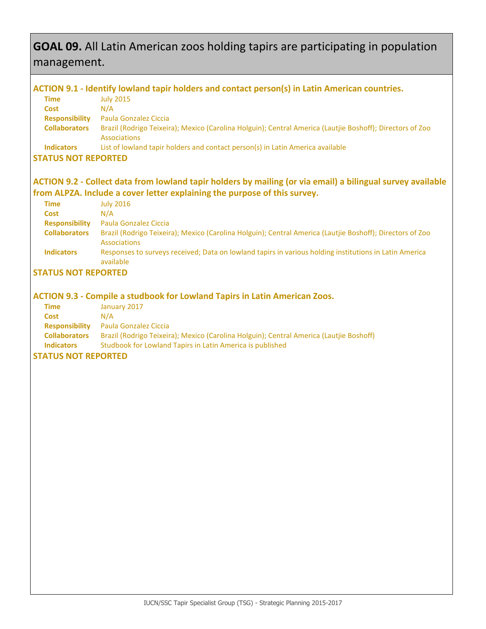# **GOAL 09.** All Latin American zoos holding tapirs are participating in population management.

### **ACTION 9.1 - Identify lowland tapir holders and contact person(s) in Latin American countries.**

| Time                  | <b>July 2015</b>                                                                                                          |
|-----------------------|---------------------------------------------------------------------------------------------------------------------------|
| <b>Cost</b>           | N/A                                                                                                                       |
| <b>Responsibility</b> | Paula Gonzalez Ciccia                                                                                                     |
| <b>Collaborators</b>  | Brazil (Rodrigo Teixeira); Mexico (Carolina Holguin); Central America (Lautije Boshoff); Directors of Zoo<br>Associations |
| <b>Indicators</b>     | List of lowland tapir holders and contact person(s) in Latin America available                                            |
| CTATHC NOT DEDODTED   |                                                                                                                           |

### **STATUS NOT REPORTED**

# **ACTION 9.2 - Collect data from lowland tapir holders by mailing (or via email) a bilingual survey available from ALPZA. Include a cover letter explaining the purpose of this survey.**

| Time                  | <b>July 2016</b>                                                                                                          |
|-----------------------|---------------------------------------------------------------------------------------------------------------------------|
| Cost                  | N/A                                                                                                                       |
| <b>Responsibility</b> | Paula Gonzalez Ciccia                                                                                                     |
| <b>Collaborators</b>  | Brazil (Rodrigo Teixeira); Mexico (Carolina Holguin); Central America (Lautjie Boshoff); Directors of Zoo<br>Associations |
| <b>Indicators</b>     | Responses to surveys received; Data on lowland tapirs in various holding institutions in Latin America<br>available       |

# **STATUS NOT REPORTED**

### **ACTION 9.3 - Compile a studbook for Lowland Tapirs in Latin American Zoos.**

| Time                  | January 2017                                                                            |
|-----------------------|-----------------------------------------------------------------------------------------|
| <b>Cost</b>           | N/A                                                                                     |
| <b>Responsibility</b> | <b>Paula Gonzalez Ciccia</b>                                                            |
| <b>Collaborators</b>  | Brazil (Rodrigo Teixeira); Mexico (Carolina Holguin); Central America (Lautjie Boshoff) |
| <b>Indicators</b>     | Studbook for Lowland Tapirs in Latin America is published                               |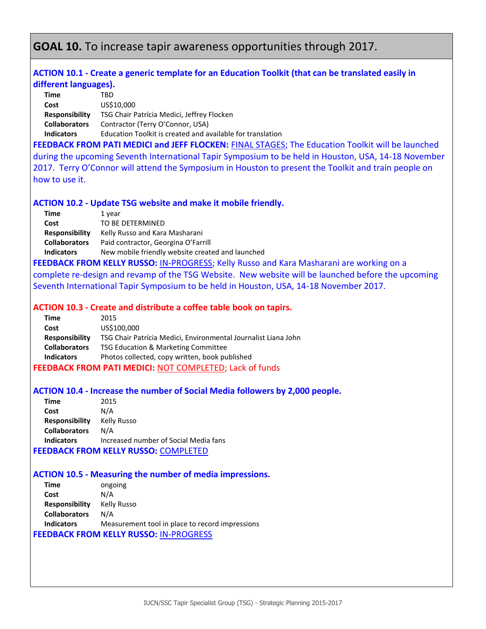# **GOAL 10.** To increase tapir awareness opportunities through 2017.

### **ACTION 10.1 - Create a generic template for an Education Toolkit (that can be translated easily in different languages).**

| Time                  | TRD                                                        |
|-----------------------|------------------------------------------------------------|
| Cost                  | US\$10,000                                                 |
| <b>Responsibility</b> | TSG Chair Patrícia Medici, Jeffrey Flocken                 |
| <b>Collaborators</b>  | Contractor (Terry O'Connor, USA)                           |
| <b>Indicators</b>     | Education Toolkit is created and available for translation |
|                       |                                                            |

**FEEDBACK FROM PATI MEDICI and JEFF FLOCKEN:** FINAL STAGES; The Education Toolkit will be launched during the upcoming Seventh International Tapir Symposium to be held in Houston, USA, 14-18 November 2017. Terry O'Connor will attend the Symposium in Houston to present the Toolkit and train people on how to use it.

#### **ACTION 10.2 - Update TSG website and make it mobile friendly.**

| Time                  | 1 year                                           |
|-----------------------|--------------------------------------------------|
| Cost                  | TO BE DETERMINED                                 |
| <b>Responsibility</b> | Kelly Russo and Kara Masharani                   |
| <b>Collaborators</b>  | Paid contractor, Georgina O'Farrill              |
| <b>Indicators</b>     | New mobile friendly website created and launched |
|                       |                                                  |

**FEEDBACK FROM KELLY RUSSO:** IN-PROGRESS; Kelly Russo and Kara Masharani are working on a complete re-design and revamp of the TSG Website. New website will be launched before the upcoming Seventh International Tapir Symposium to be held in Houston, USA, 14-18 November 2017.

#### **ACTION 10.3 - Create and distribute a coffee table book on tapirs.**

| Time                  | 2015                                                           |
|-----------------------|----------------------------------------------------------------|
| Cost                  | US\$100,000                                                    |
| <b>Responsibility</b> | TSG Chair Patrícia Medici, Environmental Journalist Liana John |
| <b>Collaborators</b>  | TSG Education & Marketing Committee                            |
| <b>Indicators</b>     | Photos collected, copy written, book published                 |
|                       | <b>FEEDBACK FROM PATI MEDICI: NOT COMPLETED; Lack of funds</b> |

#### **ACTION 10.4 - Increase the number of Social Media followers by 2,000 people.**

| Time                                        | 2015                                  |
|---------------------------------------------|---------------------------------------|
| Cost                                        | N/A                                   |
| <b>Responsibility</b>                       | Kelly Russo                           |
| <b>Collaborators</b>                        | N/A                                   |
| <b>Indicators</b>                           | Increased number of Social Media fans |
| <b>FEEDBACK FROM KELLY RUSSO: COMPLETED</b> |                                       |

#### **ACTION 10.5 - Measuring the number of media impressions.**

| Time                  | ongoing                                         |
|-----------------------|-------------------------------------------------|
| Cost                  | N/A                                             |
| <b>Responsibility</b> | Kelly Russo                                     |
| <b>Collaborators</b>  | N/A                                             |
| <b>Indicators</b>     | Measurement tool in place to record impressions |
|                       | <b>FEEDBACK FROM KELLY RUSSO: IN-PROGRESS</b>   |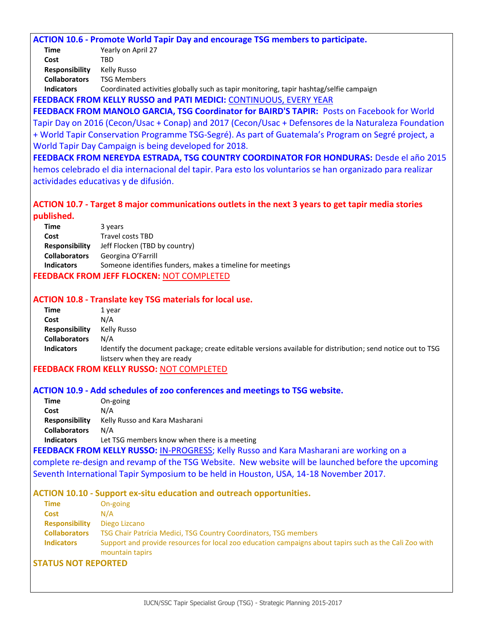#### **ACTION 10.6 - Promote World Tapir Day and encourage TSG members to participate.**

| Time                  | Yearly on April 27      |
|-----------------------|-------------------------|
| Cost                  | TBD                     |
| <b>Responsibility</b> | Kelly Russo             |
| <b>Collaborators</b>  | <b>TSG Members</b>      |
| معرم الممثلة والمرا   | $C$ aardinatad asti $u$ |

**Indicators** Coordinated activities globally such as tapir monitoring, tapir hashtag/selfie campaign

**FEEDBACK FROM KELLY RUSSO and PATI MEDICI:** CONTINUOUS, EVERY YEAR

**FEEDBACK FROM MANOLO GARCIA, TSG Coordinator for BAIRD'S TAPIR:** Posts on Facebook for World Tapir Day on 2016 (Cecon/Usac + Conap) and 2017 (Cecon/Usac + Defensores de la Naturaleza Foundation + World Tapir Conservation Programme TSG-Segré). As part of Guatemala's Program on Segré project, a World Tapir Day Campaign is being developed for 2018.

**FEEDBACK FROM NEREYDA ESTRADA, TSG COUNTRY COORDINATOR FOR HONDURAS:** Desde el año 2015 hemos celebrado el dia internacional del tapir. Para esto los voluntarios se han organizado para realizar actividades educativas y de difusión.

### **ACTION 10.7 - Target 8 major communications outlets in the next 3 years to get tapir media stories published.**

| Time                                             | 3 years                                                   |
|--------------------------------------------------|-----------------------------------------------------------|
| Cost                                             | <b>Travel costs TBD</b>                                   |
| <b>Responsibility</b>                            | Jeff Flocken (TBD by country)                             |
| <b>Collaborators</b>                             | Georgina O'Farrill                                        |
| <b>Indicators</b>                                | Someone identifies funders, makes a timeline for meetings |
| <b>FEEDBACK FROM JEFF FLOCKEN: NOT COMPLETED</b> |                                                           |

### **ACTION 10.8 - Translate key TSG materials for local use.**

| Time                  | 1 vear                                                                                                                                     |
|-----------------------|--------------------------------------------------------------------------------------------------------------------------------------------|
| Cost                  | N/A                                                                                                                                        |
| <b>Responsibility</b> | Kelly Russo                                                                                                                                |
| <b>Collaborators</b>  | N/A                                                                                                                                        |
| <b>Indicators</b>     | Identify the document package; create editable versions available for distribution; send notice out to TSG<br>listsery when they are ready |

#### **FEEDBACK FROM KELLY RUSSO:** NOT COMPLETED

#### **ACTION 10.9 - Add schedules of zoo conferences and meetings to TSG website.**

| Let TSG members know when there is a meeting |
|----------------------------------------------|
|                                              |

**FEEDBACK FROM KELLY RUSSO:** IN-PROGRESS; Kelly Russo and Kara Masharani are working on a complete re-design and revamp of the TSG Website. New website will be launched before the upcoming Seventh International Tapir Symposium to be held in Houston, USA, 14-18 November 2017.

#### **ACTION 10.10 - Support ex-situ education and outreach opportunities.**

| <b>Time</b>           | On-going                                                                                                                  |
|-----------------------|---------------------------------------------------------------------------------------------------------------------------|
| <b>Cost</b>           | N/A                                                                                                                       |
| <b>Responsibility</b> | Diego Lizcano                                                                                                             |
| <b>Collaborators</b>  | TSG Chair Patrícia Medici, TSG Country Coordinators, TSG members                                                          |
| <b>Indicators</b>     | Support and provide resources for local zoo education campaigns about tapirs such as the Cali Zoo with<br>mountain tapirs |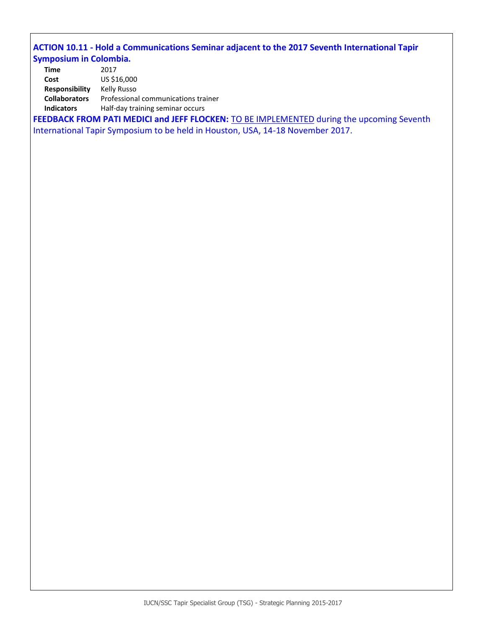# **ACTION 10.11 - Hold a Communications Seminar adjacent to the 2017 Seventh International Tapir Symposium in Colombia.**

| Time                  | 2017                                |
|-----------------------|-------------------------------------|
| Cost                  | US \$16,000                         |
| <b>Responsibility</b> | Kelly Russo                         |
| <b>Collaborators</b>  | Professional communications trainer |
| <b>Indicators</b>     | Half-day training seminar occurs    |

FEEDBACK FROM PATI MEDICI and JEFF FLOCKEN: **TO BE IMPLEMENTED** during the upcoming Seventh International Tapir Symposium to be held in Houston, USA, 14-18 November 2017.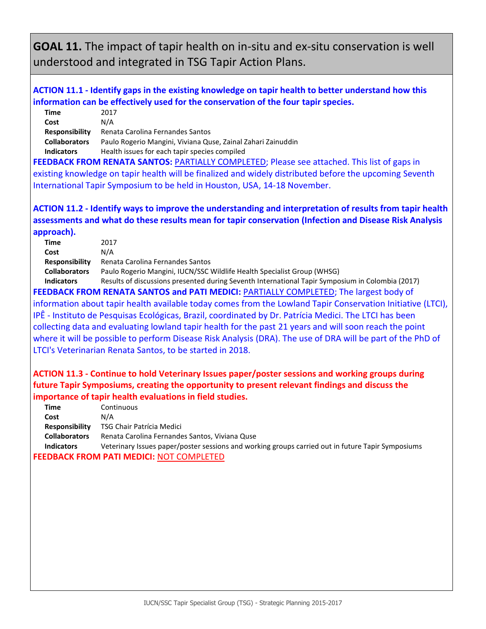# **GOAL 11.** The impact of tapir health on in-situ and ex-situ conservation is well understood and integrated in TSG Tapir Action Plans.

# **ACTION 11.1 - Identify gaps in the existing knowledge on tapir health to better understand how this information can be effectively used for the conservation of the four tapir species.**

| Time                                                                                               | 2017                                                         |
|----------------------------------------------------------------------------------------------------|--------------------------------------------------------------|
| Cost                                                                                               | N/A                                                          |
| <b>Responsibility</b>                                                                              | Renata Carolina Fernandes Santos                             |
| <b>Collaborators</b>                                                                               | Paulo Rogerio Mangini, Viviana Quse, Zainal Zahari Zainuddin |
| <b>Indicators</b>                                                                                  | Health issues for each tapir species compiled                |
| <b>FEEDBACK FROM RENATA SANTOS: PARTIALLY COMPLETED; Please see attached. This list of gaps in</b> |                                                              |

existing knowledge on tapir health will be finalized and widely distributed before the upcoming Seventh International Tapir Symposium to be held in Houston, USA, 14-18 November.

# **ACTION 11.2 - Identify ways to improve the understanding and interpretation of results from tapir health assessments and what do these results mean for tapir conservation (Infection and Disease Risk Analysis approach).**

|                                                                                              | <b>Time</b>           | 2017                                                                                             |
|----------------------------------------------------------------------------------------------|-----------------------|--------------------------------------------------------------------------------------------------|
|                                                                                              | Cost                  | N/A                                                                                              |
|                                                                                              | <b>Responsibility</b> | Renata Carolina Fernandes Santos                                                                 |
|                                                                                              | <b>Collaborators</b>  | Paulo Rogerio Mangini, IUCN/SSC Wildlife Health Specialist Group (WHSG)                          |
|                                                                                              | <b>Indicators</b>     | Results of discussions presented during Seventh International Tapir Symposium in Colombia (2017) |
| <b>FEEDBACK FROM RENATA SANTOS and PATI MEDICI: PARTIALLY COMPLETED; The largest body of</b> |                       |                                                                                                  |
|                                                                                              |                       |                                                                                                  |

information about tapir health available today comes from the Lowland Tapir Conservation Initiative (LTCI), IPÊ - Instituto de Pesquisas Ecológicas, Brazil, coordinated by Dr. Patrícia Medici. The LTCI has been collecting data and evaluating lowland tapir health for the past 21 years and will soon reach the point where it will be possible to perform Disease Risk Analysis (DRA). The use of DRA will be part of the PhD of LTCI's Veterinarian Renata Santos, to be started in 2018.

# **ACTION 11.3 - Continue to hold Veterinary Issues paper/poster sessions and working groups during future Tapir Symposiums, creating the opportunity to present relevant findings and discuss the importance of tapir health evaluations in field studies.**

| Time                                            | Continuous                                                                                        |
|-------------------------------------------------|---------------------------------------------------------------------------------------------------|
| Cost                                            | N/A                                                                                               |
| <b>Responsibility</b>                           | TSG Chair Patrícia Medici                                                                         |
| <b>Collaborators</b>                            | Renata Carolina Fernandes Santos, Viviana Quse                                                    |
| <b>Indicators</b>                               | Veterinary Issues paper/poster sessions and working groups carried out in future Tapir Symposiums |
| <b>FEEDBACK FROM PATI MEDICI: NOT COMPLETED</b> |                                                                                                   |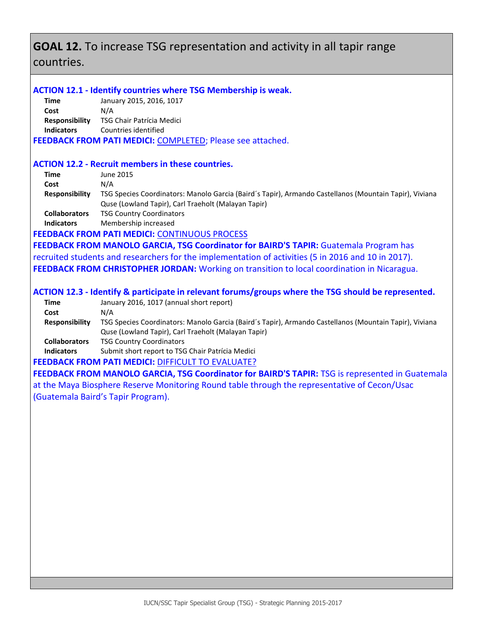# **GOAL 12.** To increase TSG representation and activity in all tapir range countries.

### **ACTION 12.1 - Identify countries where TSG Membership is weak.**

**Time** January 2015, 2016, 1017 **Cost** N/A **Responsibility** TSG Chair Patrícia Medici **Indicators** Countries identified

**FEEDBACK FROM PATI MEDICI:** COMPLETED; Please see attached.

### **ACTION 12.2 - Recruit members in these countries.**

| Time                  | June 2015                                                                                              |
|-----------------------|--------------------------------------------------------------------------------------------------------|
| Cost                  | N/A                                                                                                    |
| <b>Responsibility</b> | TSG Species Coordinators: Manolo Garcia (Baird's Tapir), Armando Castellanos (Mountain Tapir), Viviana |
|                       | Quse (Lowland Tapir), Carl Traeholt (Malayan Tapir)                                                    |
| <b>Collaborators</b>  | <b>TSG Country Coordinators</b>                                                                        |
| <b>Indicators</b>     | Membership increased                                                                                   |

### **FEEDBACK FROM PATI MEDICI:** CONTINUOUS PROCESS

FEEDBACK FROM MANOLO GARCIA, TSG Coordinator for BAIRD'S TAPIR: Guatemala Program has recruited students and researchers for the implementation of activities (5 in 2016 and 10 in 2017). **FEEDBACK FROM CHRISTOPHER JORDAN:** Working on transition to local coordination in Nicaragua.

### **ACTION 12.3 - Identify & participate in relevant forums/groups where the TSG should be represented.**

| January 2016, 1017 (annual short report)                                                               |
|--------------------------------------------------------------------------------------------------------|
| N/A                                                                                                    |
| TSG Species Coordinators: Manolo Garcia (Baird's Tapir), Armando Castellanos (Mountain Tapir), Viviana |
| Quse (Lowland Tapir), Carl Traeholt (Malayan Tapir)                                                    |
| <b>TSG Country Coordinators</b>                                                                        |
| Submit short report to TSG Chair Patrícia Medici                                                       |
|                                                                                                        |

**FEEDBACK FROM PATI MEDICI: DIFFICULT TO EVALUATE?** 

**FEEDBACK FROM MANOLO GARCIA, TSG Coordinator for BAIRD'S TAPIR:** TSG is represented in Guatemala at the Maya Biosphere Reserve Monitoring Round table through the representative of Cecon/Usac (Guatemala Baird's Tapir Program).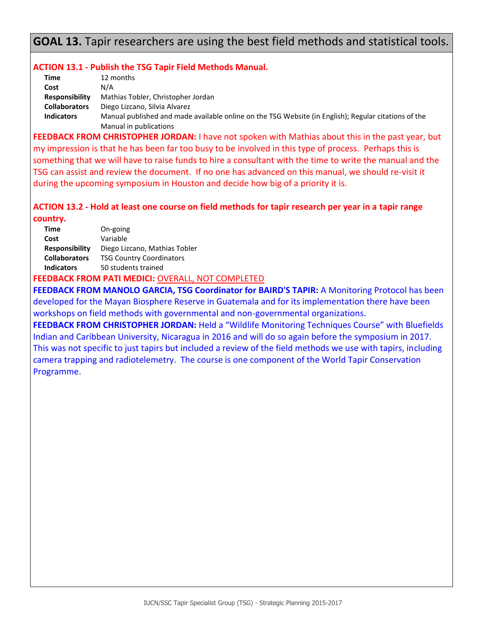# **GOAL 13.** Tapir researchers are using the best field methods and statistical tools.

### **ACTION 13.1 - Publish the TSG Tapir Field Methods Manual.**

| Time                  | 12 months                                                                                            |
|-----------------------|------------------------------------------------------------------------------------------------------|
| Cost                  | N/A                                                                                                  |
| <b>Responsibility</b> | Mathias Tobler, Christopher Jordan                                                                   |
| <b>Collaborators</b>  | Diego Lizcano, Silvia Alvarez                                                                        |
| <b>Indicators</b>     | Manual published and made available online on the TSG Website (in English); Regular citations of the |
|                       | Manual in publications                                                                               |

**FEEDBACK FROM CHRISTOPHER JORDAN:** I have not spoken with Mathias about this in the past year, but my impression is that he has been far too busy to be involved in this type of process. Perhaps this is something that we will have to raise funds to hire a consultant with the time to write the manual and the TSG can assist and review the document. If no one has advanced on this manual, we should re-visit it during the upcoming symposium in Houston and decide how big of a priority it is.

# **ACTION 13.2 - Hold at least one course on field methods for tapir research per year in a tapir range**

**country.**

| <b>Time</b>           | On-going                        |
|-----------------------|---------------------------------|
| Cost                  | Variable                        |
| <b>Responsibility</b> | Diego Lizcano, Mathias Tobler   |
| <b>Collaborators</b>  | <b>TSG Country Coordinators</b> |
| <b>Indicators</b>     | 50 students trained             |
|                       |                                 |

### **FEEDBACK FROM PATI MEDICI:** OVERALL, NOT COMPLETED

**FEEDBACK FROM MANOLO GARCIA, TSG Coordinator for BAIRD'S TAPIR:** A Monitoring Protocol has been developed for the Mayan Biosphere Reserve in Guatemala and for its implementation there have been workshops on field methods with governmental and non-governmental organizations.

**FEEDBACK FROM CHRISTOPHER JORDAN:** Held a "Wildlife Monitoring Techniques Course" with Bluefields Indian and Caribbean University, Nicaragua in 2016 and will do so again before the symposium in 2017. This was not specific to just tapirs but included a review of the field methods we use with tapirs, including camera trapping and radiotelemetry. The course is one component of the World Tapir Conservation Programme.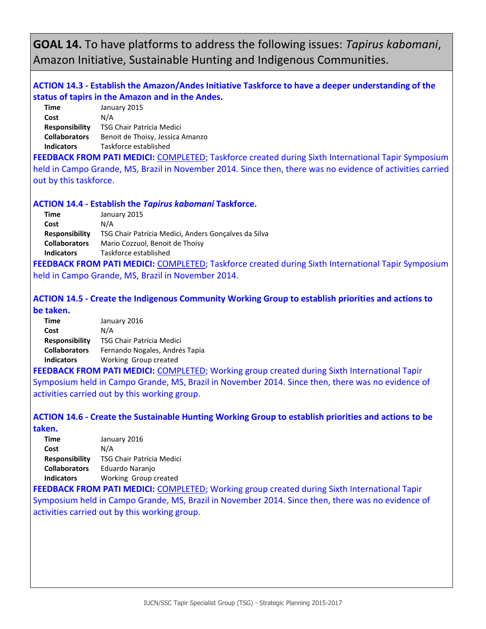**GOAL 14.** To have platforms to address the following issues: *Tapirus kabomani*, Amazon Initiative, Sustainable Hunting and Indigenous Communities.

# **ACTION 14.3 - Establish the Amazon/Andes Initiative Taskforce to have a deeper understanding of the status of tapirs in the Amazon and in the Andes.**

| January 2015                     |
|----------------------------------|
| N/A                              |
| TSG Chair Patrícia Medici        |
| Benoit de Thoisy, Jessica Amanzo |
| Taskforce established            |
|                                  |

**FEEDBACK FROM PATI MEDICI:** COMPLETED; Taskforce created during Sixth International Tapir Symposium held in Campo Grande, MS, Brazil in November 2014. Since then, there was no evidence of activities carried out by this taskforce.

### **ACTION 14.4 - Establish the** *Tapirus kabomani* **Taskforce.**

| January 2015                                         |
|------------------------------------------------------|
| N/A                                                  |
| TSG Chair Patrícia Medici, Anders Gonçalves da Silva |
| Mario Cozzuol, Benoit de Thoisy                      |
| Taskforce established                                |
|                                                      |

**FEEDBACK FROM PATI MEDICI:** COMPLETED; Taskforce created during Sixth International Tapir Symposium held in Campo Grande, MS, Brazil in November 2014.

**ACTION 14.5 - Create the Indigenous Community Working Group to establish priorities and actions to be taken.**

| Time                  | January 2016                     |
|-----------------------|----------------------------------|
| Cost                  | N/A                              |
| <b>Responsibility</b> | <b>TSG Chair Patrícia Medici</b> |
| <b>Collaborators</b>  | Fernando Nogales, Andrés Tapia   |
| <b>Indicators</b>     | Working Group created            |

**FEEDBACK FROM PATI MEDICI:** COMPLETED; Working group created during Sixth International Tapir Symposium held in Campo Grande, MS, Brazil in November 2014. Since then, there was no evidence of activities carried out by this working group.

### **ACTION 14.6 - Create the Sustainable Hunting Working Group to establish priorities and actions to be taken.**

**Time** January 2016 **Cost** N/A **Responsibility** TSG Chair Patrícia Medici **Collaborators** Eduardo Naranjo **Indicators** Working Group created

**FEEDBACK FROM PATI MEDICI: COMPLETED; Working group created during Sixth International Tapir** Symposium held in Campo Grande, MS, Brazil in November 2014. Since then, there was no evidence of activities carried out by this working group.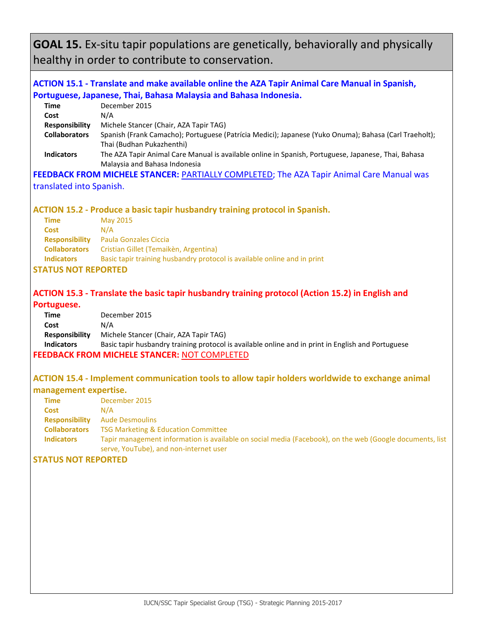**GOAL 15.** Ex-situ tapir populations are genetically, behaviorally and physically healthy in order to contribute to conservation.

# **ACTION 15.1 - Translate and make available online the AZA Tapir Animal Care Manual in Spanish, Portuguese, Japanese, Thai, Bahasa Malaysia and Bahasa Indonesia.**

| December 2015                                                                                         |
|-------------------------------------------------------------------------------------------------------|
| N/A                                                                                                   |
| Michele Stancer (Chair, AZA Tapir TAG)                                                                |
| Spanish (Frank Camacho); Portuguese (Patrícia Medici); Japanese (Yuko Onuma); Bahasa (Carl Traeholt); |
| Thai (Budhan Pukazhenthi)                                                                             |
| The AZA Tapir Animal Care Manual is available online in Spanish, Portuguese, Japanese, Thai, Bahasa   |
| Malaysia and Bahasa Indonesia                                                                         |
|                                                                                                       |

**FEEDBACK FROM MICHELE STANCER:** PARTIALLY COMPLETED; The AZA Tapir Animal Care Manual was translated into Spanish.

### **ACTION 15.2 - Produce a basic tapir husbandry training protocol in Spanish.**

| Time                  | May 2015                                                                 |
|-----------------------|--------------------------------------------------------------------------|
| <b>Cost</b>           | N/A                                                                      |
| <b>Responsibility</b> | Paula Gonzales Ciccia                                                    |
| <b>Collaborators</b>  | Cristian Gillet (Temaikèn, Argentina)                                    |
| <b>Indicators</b>     | Basic tapir training husbandry protocol is available online and in print |

#### **STATUS NOT REPORTED**

### **ACTION 15.3 - Translate the basic tapir husbandry training protocol (Action 15.2) in English and**

#### **Portuguese.**

| Time                                                | December 2015                                                                                      |
|-----------------------------------------------------|----------------------------------------------------------------------------------------------------|
| Cost                                                | N/A                                                                                                |
| <b>Responsibility</b>                               | Michele Stancer (Chair, AZA Tapir TAG)                                                             |
| <b>Indicators</b>                                   | Basic tapir husbandry training protocol is available online and in print in English and Portuguese |
| <b>FEEDBACK FROM MICHELE STANCER: NOT COMPLETED</b> |                                                                                                    |

### **ACTION 15.4 - Implement communication tools to allow tapir holders worldwide to exchange animal management expertise.**

| Time                  | December 2015                                                                                                                                      |
|-----------------------|----------------------------------------------------------------------------------------------------------------------------------------------------|
| <b>Cost</b>           | N/A                                                                                                                                                |
| <b>Responsibility</b> | <b>Aude Desmoulins</b>                                                                                                                             |
| <b>Collaborators</b>  | <b>TSG Marketing &amp; Education Committee</b>                                                                                                     |
| <b>Indicators</b>     | Tapir management information is available on social media (Facebook), on the web (Google documents, list<br>serve, YouTube), and non-internet user |
|                       |                                                                                                                                                    |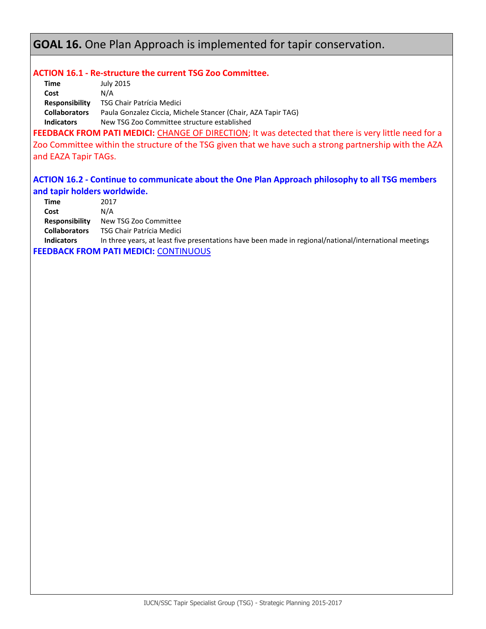# **GOAL 16.** One Plan Approach is implemented for tapir conservation.

### **ACTION 16.1 - Re-structure the current TSG Zoo Committee.**

| Time                  | July 2015                                                     |
|-----------------------|---------------------------------------------------------------|
| Cost                  | N/A                                                           |
| <b>Responsibility</b> | TSG Chair Patrícia Medici                                     |
| <b>Collaborators</b>  | Paula Gonzalez Ciccia, Michele Stancer (Chair, AZA Tapir TAG) |
| <b>Indicators</b>     | New TSG Zoo Committee structure established                   |
|                       | .<br>.                                                        |

FEEDBACK FROM PATI MEDICI: CHANGE OF DIRECTION; It was detected that there is very little need for a Zoo Committee within the structure of the TSG given that we have such a strong partnership with the AZA and EAZA Tapir TAGs.

### **ACTION 16.2 - Continue to communicate about the One Plan Approach philosophy to all TSG members and tapir holders worldwide.**

| Time                                         | 2017                                                                                                   |
|----------------------------------------------|--------------------------------------------------------------------------------------------------------|
| Cost                                         | N/A                                                                                                    |
| <b>Responsibility</b>                        | New TSG Zoo Committee                                                                                  |
| <b>Collaborators</b>                         | TSG Chair Patrícia Medici                                                                              |
| <b>Indicators</b>                            | In three years, at least five presentations have been made in regional/national/international meetings |
| <b>FEEDBACK FROM PATI MEDICI: CONTINUOUS</b> |                                                                                                        |

IUCN/SSC Tapir Specialist Group (TSG) - Strategic Planning 2015-2017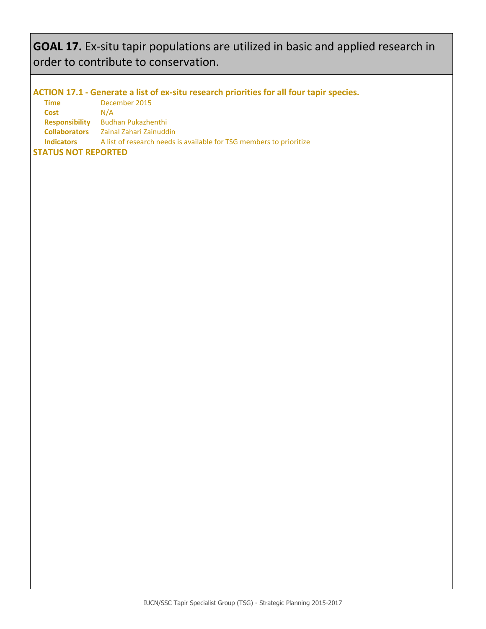# **GOAL 17.** Ex-situ tapir populations are utilized in basic and applied research in order to contribute to conservation.

### **ACTION 17.1 - Generate a list of ex-situ research priorities for all four tapir species.**

**Time** December 2015 **Cost** N/A **Responsibility** Budhan Pukazhenthi **Collaborators** Zainal Zahari Zainuddin **Indicators** A list of research needs is available for TSG members to prioritize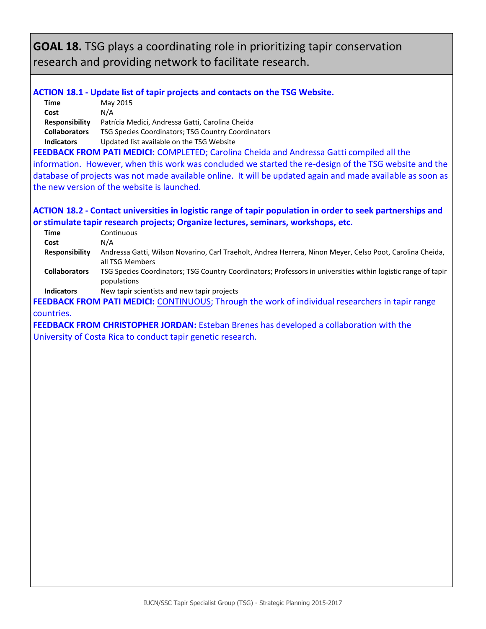**GOAL 18.** TSG plays a coordinating role in prioritizing tapir conservation research and providing network to facilitate research.

### **ACTION 18.1 - Update list of tapir projects and contacts on the TSG Website.**

| Time                  | May 2015                                           |
|-----------------------|----------------------------------------------------|
| Cost                  | N/A                                                |
| <b>Responsibility</b> | Patrícia Medici, Andressa Gatti, Carolina Cheida   |
| <b>Collaborators</b>  | TSG Species Coordinators; TSG Country Coordinators |
| <b>Indicators</b>     | Updated list available on the TSG Website          |

**FEEDBACK FROM PATI MEDICI:** COMPLETED; Carolina Cheida and Andressa Gatti compiled all the information. However, when this work was concluded we started the re-design of the TSG website and the database of projects was not made available online. It will be updated again and made available as soon as the new version of the website is launched.

### **ACTION 18.2 - Contact universities in logistic range of tapir population in order to seek partnerships and or stimulate tapir research projects; Organize lectures, seminars, workshops, etc.**

| Time                  | Continuous                                                                                                                   |
|-----------------------|------------------------------------------------------------------------------------------------------------------------------|
| Cost                  | N/A                                                                                                                          |
| <b>Responsibility</b> | Andressa Gatti, Wilson Novarino, Carl Traeholt, Andrea Herrera, Ninon Meyer, Celso Poot, Carolina Cheida,<br>all TSG Members |
| <b>Collaborators</b>  | TSG Species Coordinators; TSG Country Coordinators; Professors in universities within logistic range of tapir<br>populations |
| Indicators            | New tapir scientists and new tapir projects                                                                                  |

**Indicators** New tapir scientists and new tapir projects

FEEDBACK FROM PATI MEDICI: CONTINUOUS; Through the work of individual researchers in tapir range countries.

**FEEDBACK FROM CHRISTOPHER JORDAN:** Esteban Brenes has developed a collaboration with the University of Costa Rica to conduct tapir genetic research.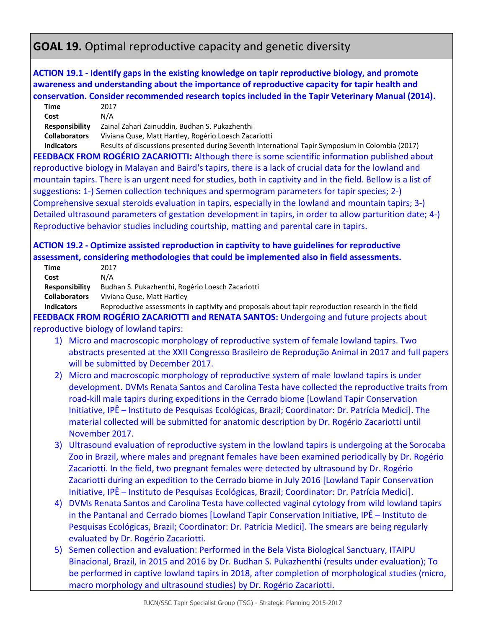# **GOAL 19.** Optimal reproductive capacity and genetic diversity

### **ACTION 19.1 - Identify gaps in the existing knowledge on tapir reproductive biology, and promote awareness and understanding about the importance of reproductive capacity for tapir health and conservation. Consider recommended research topics included in the Tapir Veterinary Manual (2014).**

| Time                                                                                            | 2017                                                                                                                                                                                                                          |
|-------------------------------------------------------------------------------------------------|-------------------------------------------------------------------------------------------------------------------------------------------------------------------------------------------------------------------------------|
| Cost                                                                                            | N/A                                                                                                                                                                                                                           |
| <b>Responsibility</b>                                                                           | Zainal Zahari Zainuddin, Budhan S. Pukazhenthi                                                                                                                                                                                |
| <b>Collaborators</b>                                                                            | Viviana Quse, Matt Hartley, Rogério Loesch Zacariotti                                                                                                                                                                         |
| <b>Indicators</b>                                                                               | Results of discussions presented during Seventh International Tapir Symposium in Colombia (2017)                                                                                                                              |
| FEEDBACK FROM ROGÉRIO ZACARIOTTI: Although there is some scientific information published about |                                                                                                                                                                                                                               |
|                                                                                                 | . The second contract is a second contract of the contract of the contract of the contract of the contract of the contract of the contract of the contract of the contract of the contract of the contract of the contract of |

reproductive biology in Malayan and Baird's tapirs, there is a lack of crucial data for the lowland and mountain tapirs. There is an urgent need for studies, both in captivity and in the field. Bellow is a list of suggestions: 1-) Semen collection techniques and spermogram parameters for tapir species; 2-) Comprehensive sexual steroids evaluation in tapirs, especially in the lowland and mountain tapirs; 3-) Detailed ultrasound parameters of gestation development in tapirs, in order to allow parturition date; 4-) Reproductive behavior studies including courtship, matting and parental care in tapirs.

# **ACTION 19.2 - Optimize assisted reproduction in captivity to have guidelines for reproductive assessment, considering methodologies that could be implemented also in field assessments.**

| Time                  | 2017                                                                                                                                                                                                                                                                                                                                                                      |
|-----------------------|---------------------------------------------------------------------------------------------------------------------------------------------------------------------------------------------------------------------------------------------------------------------------------------------------------------------------------------------------------------------------|
| Cost                  | N/A                                                                                                                                                                                                                                                                                                                                                                       |
| <b>Responsibility</b> | Budhan S. Pukazhenthi, Rogério Loesch Zacariotti                                                                                                                                                                                                                                                                                                                          |
| <b>Collaborators</b>  | Viviana Quse, Matt Hartley                                                                                                                                                                                                                                                                                                                                                |
| <b>Indicators</b>     | Reproductive assessments in captivity and proposals about tapir reproduction research in the field<br>_ _ _ _ _ _ <del>_</del> _ _ _<br>$\mathbf{1}$ , and a set of the set of the set of the set of the set of the set of the set of the set of the set of the set of the set of the set of the set of the set of the set of the set of the set of the set of the set of |

**FEEDBACK FROM ROGÉRIO ZACARIOTTI and RENATA SANTOS:** Undergoing and future projects about reproductive biology of lowland tapirs:

- 1) Micro and macroscopic morphology of reproductive system of female lowland tapirs. Two abstracts presented at the XXII Congresso Brasileiro de Reprodução Animal in 2017 and full papers will be submitted by December 2017.
- 2) Micro and macroscopic morphology of reproductive system of male lowland tapirs is under development. DVMs Renata Santos and Carolina Testa have collected the reproductive traits from road-kill male tapirs during expeditions in the Cerrado biome [Lowland Tapir Conservation Initiative, IPÊ – Instituto de Pesquisas Ecológicas, Brazil; Coordinator: Dr. Patrícia Medici]. The material collected will be submitted for anatomic description by Dr. Rogério Zacariotti until November 2017.
- 3) Ultrasound evaluation of reproductive system in the lowland tapirs is undergoing at the Sorocaba Zoo in Brazil, where males and pregnant females have been examined periodically by Dr. Rogério Zacariotti. In the field, two pregnant females were detected by ultrasound by Dr. Rogério Zacariotti during an expedition to the Cerrado biome in July 2016 [Lowland Tapir Conservation Initiative, IPÊ – Instituto de Pesquisas Ecológicas, Brazil; Coordinator: Dr. Patrícia Medici].
- 4) DVMs Renata Santos and Carolina Testa have collected vaginal cytology from wild lowland tapirs in the Pantanal and Cerrado biomes [Lowland Tapir Conservation Initiative, IPÊ – Instituto de Pesquisas Ecológicas, Brazil; Coordinator: Dr. Patrícia Medici]. The smears are being regularly evaluated by Dr. Rogério Zacariotti.
- 5) Semen collection and evaluation: Performed in the Bela Vista Biological Sanctuary, ITAIPU Binacional, Brazil, in 2015 and 2016 by Dr. Budhan S. Pukazhenthi (results under evaluation); To be performed in captive lowland tapirs in 2018, after completion of morphological studies (micro, macro morphology and ultrasound studies) by Dr. Rogério Zacariotti.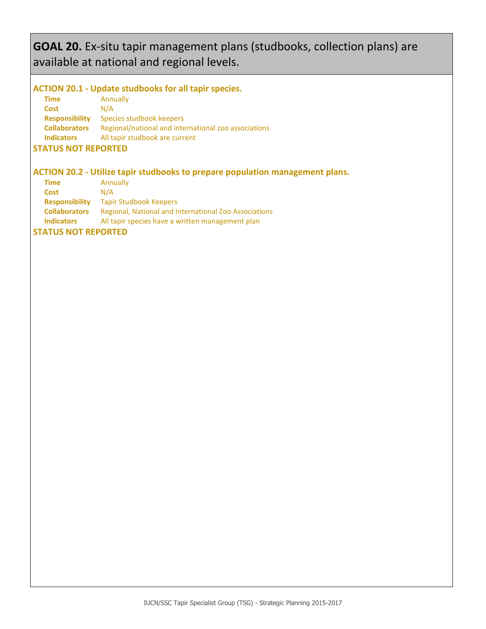# **GOAL 20.** Ex-situ tapir management plans (studbooks, collection plans) are available at national and regional levels.

# **ACTION 20.1 - Update studbooks for all tapir species.**

| Time                  | Annually                                             |
|-----------------------|------------------------------------------------------|
| <b>Cost</b>           | N/A                                                  |
| <b>Responsibility</b> | Species studbook keepers                             |
| <b>Collaborators</b>  | Regional/national and international zoo associations |
| <b>Indicators</b>     | All tapir studbook are current                       |
|                       |                                                      |

#### **STATUS NOT REPORTED**

# **ACTION 20.2 - Utilize tapir studbooks to prepare population management plans.**

| <b>Time</b>           | Annually                                              |
|-----------------------|-------------------------------------------------------|
| Cost                  | N/A                                                   |
| <b>Responsibility</b> | <b>Tapir Studbook Keepers</b>                         |
| <b>Collaborators</b>  | Regional, National and International Zoo Associations |
| <b>Indicators</b>     | All tapir species have a written management plan      |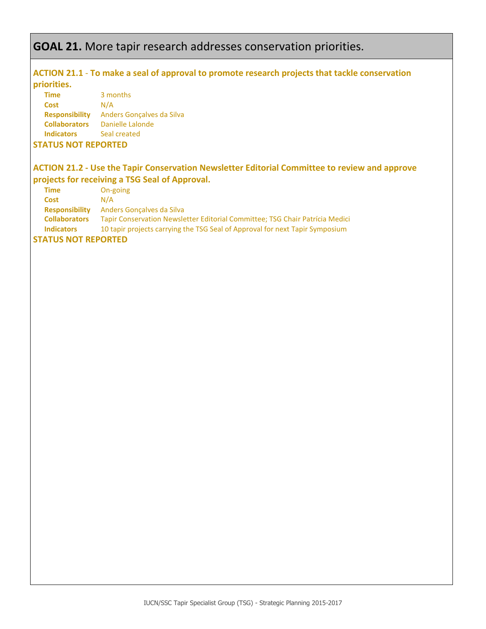# **GOAL 21.** More tapir research addresses conservation priorities.

### **ACTION 21.1** - **To make a seal of approval to promote research projects that tackle conservation priorities.**

| <b>Time</b>           | 3 months                  |
|-----------------------|---------------------------|
| Cost                  | N/A                       |
| <b>Responsibility</b> | Anders Goncalves da Silva |
| <b>Collaborators</b>  | Danielle Lalonde          |
| <b>Indicators</b>     | Seal created              |
|                       |                           |

### **STATUS NOT REPORTED**

# **ACTION 21.2 - Use the Tapir Conservation Newsletter Editorial Committee to review and approve projects for receiving a TSG Seal of Approval.**

| <b>Time</b>           | On-going                                                                     |
|-----------------------|------------------------------------------------------------------------------|
| Cost                  | N/A                                                                          |
| <b>Responsibility</b> | Anders Goncalves da Silva                                                    |
| <b>Collaborators</b>  | Tapir Conservation Newsletter Editorial Committee; TSG Chair Patrícia Medici |
| <b>Indicators</b>     | 10 tapir projects carrying the TSG Seal of Approval for next Tapir Symposium |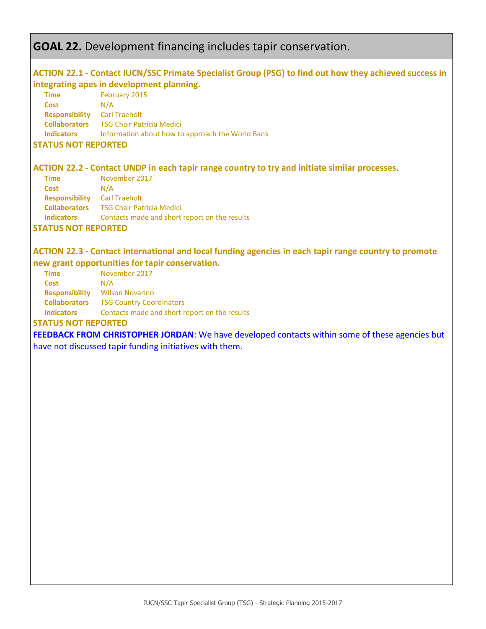# **GOAL 22.** Development financing includes tapir conservation.

### **ACTION 22.1 - Contact IUCN/SSC Primate Specialist Group (PSG) to find out how they achieved success in integrating apes in development planning.**

| Time                  | February 2015                                    |
|-----------------------|--------------------------------------------------|
| Cost                  | N/A                                              |
| <b>Responsibility</b> | <b>Carl Traeholt</b>                             |
| <b>Collaborators</b>  | <b>TSG Chair Patrícia Medici</b>                 |
| <b>Indicators</b>     | Information about how to approach the World Bank |
|                       |                                                  |

#### **STATUS NOT REPORTED**

### **ACTION 22.2 - Contact UNDP in each tapir range country to try and initiate similar processes.**

| Time                  | November 2017                                 |
|-----------------------|-----------------------------------------------|
| <b>Cost</b>           | N/A                                           |
| <b>Responsibility</b> | <b>Carl Traeholt</b>                          |
| <b>Collaborators</b>  | <b>TSG Chair Patrícia Medici</b>              |
| <b>Indicators</b>     | Contacts made and short report on the results |
|                       |                                               |

#### **STATUS NOT REPORTED**

### **ACTION 22.3 - Contact international and local funding agencies in each tapir range country to promote new grant opportunities for tapir conservation.**

| <b>Time</b>           | November 2017                   |
|-----------------------|---------------------------------|
| Cost                  | N/A                             |
| <b>Responsibility</b> | <b>Wilson Novarino</b>          |
| <b>Collaborators</b>  | <b>TSG Country Coordinators</b> |
| <b>Indicators</b>     | Contacts made and short repor   |

**Indicators** Contacts made and short report on the results

#### **STATUS NOT REPORTED**

**FEEDBACK FROM CHRISTOPHER JORDAN**: We have developed contacts within some of these agencies but

have not discussed tapir funding initiatives with them.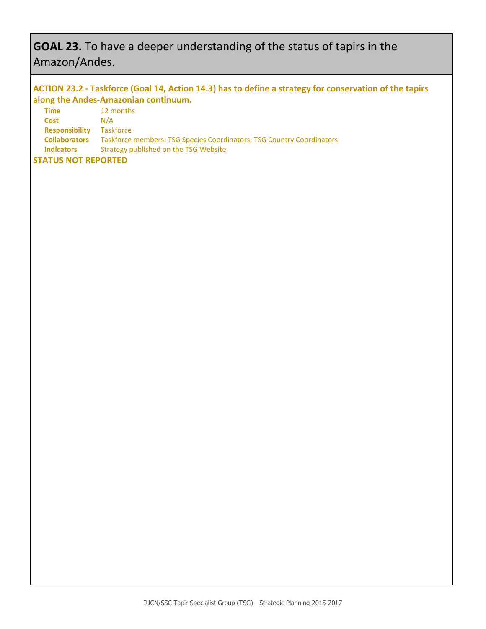# **GOAL 23.** To have a deeper understanding of the status of tapirs in the Amazon/Andes.

# **ACTION 23.2 - Taskforce (Goal 14, Action 14.3) has to define a strategy for conservation of the tapirs along the Andes-Amazonian continuum.**

| Time                      | 12 months                                                             |
|---------------------------|-----------------------------------------------------------------------|
| <b>Cost</b>               | N/A                                                                   |
| <b>Responsibility</b>     | Taskforce                                                             |
| <b>Collaborators</b>      | Taskforce members; TSG Species Coordinators; TSG Country Coordinators |
| <b>Indicators</b>         | Strategy published on the TSG Website                                 |
| <b>TATUC NAT BEBARTER</b> |                                                                       |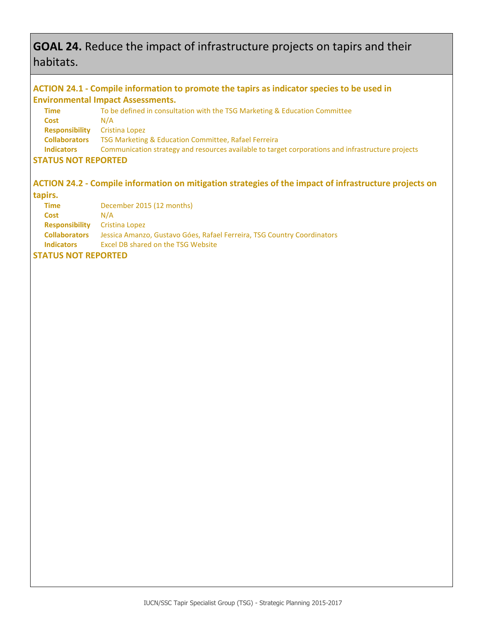# **GOAL 24.** Reduce the impact of infrastructure projects on tapirs and their habitats.

### **ACTION 24.1 - Compile information to promote the tapirs as indicator species to be used in Environmental Impact Assessments.**

| Time                      | To be defined in consultation with the TSG Marketing & Education Committee                        |
|---------------------------|---------------------------------------------------------------------------------------------------|
| <b>Cost</b>               | N/A                                                                                               |
| <b>Responsibility</b>     | Cristina Lopez                                                                                    |
| <b>Collaborators</b>      | TSG Marketing & Education Committee, Rafael Ferreira                                              |
| <b>Indicators</b>         | Communication strategy and resources available to target corporations and infrastructure projects |
| <b>TATUC NAT BEBABTER</b> |                                                                                                   |

### **STATUS NOT REPORTED**

# **ACTION 24.2 - Compile information on mitigation strategies of the impact of infrastructure projects on**

# **tapirs.**

| <b>Time</b>                          | December 2015 (12 months)                                               |
|--------------------------------------|-------------------------------------------------------------------------|
| <b>Cost</b>                          | N/A                                                                     |
| <b>Responsibility</b> Cristina Lopez |                                                                         |
| <b>Collaborators</b>                 | Jessica Amanzo, Gustavo Góes, Rafael Ferreira, TSG Country Coordinators |
| <b>Indicators</b>                    | Excel DB shared on the TSG Website                                      |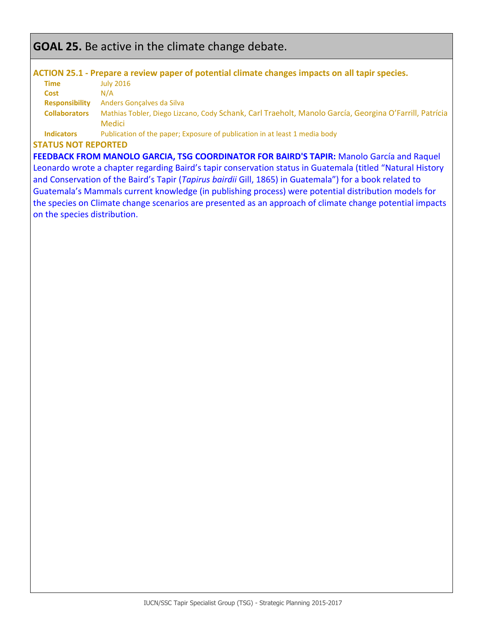# **GOAL 25.** Be active in the climate change debate.

#### **ACTION 25.1 - Prepare a review paper of potential climate changes impacts on all tapir species.**

| <b>Time</b>           | <b>July 2016</b>                                                                                       |
|-----------------------|--------------------------------------------------------------------------------------------------------|
| <b>Cost</b>           | N/A                                                                                                    |
| <b>Responsibility</b> | Anders Goncalves da Silva                                                                              |
| <b>Collaborators</b>  | Mathias Tobler, Diego Lizcano, Cody Schank, Carl Traeholt, Manolo García, Georgina O'Farrill, Patrícia |
|                       | <b>Medici</b>                                                                                          |
| <b>Indicators</b>     | Publication of the paper; Exposure of publication in at least 1 media body                             |

#### **STATUS NOT REPORTED**

**FEEDBACK FROM MANOLO GARCIA, TSG COORDINATOR FOR BAIRD'S TAPIR:** Manolo García and Raquel Leonardo wrote a chapter regarding Baird's tapir conservation status in Guatemala (titled "Natural History and Conservation of the Baird's Tapir (*Tapirus bairdii* Gill, 1865) in Guatemala") for a book related to Guatemala's Mammals current knowledge (in publishing process) were potential distribution models for the species on Climate change scenarios are presented as an approach of climate change potential impacts on the species distribution.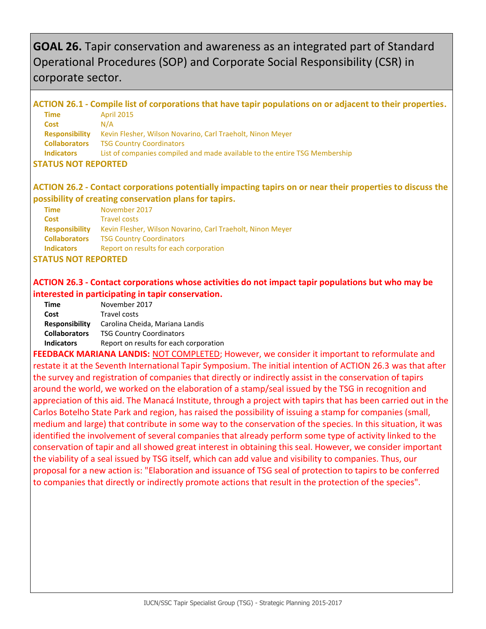# **GOAL 26.** Tapir conservation and awareness as an integrated part of Standard Operational Procedures (SOP) and Corporate Social Responsibility (CSR) in corporate sector.

#### **ACTION 26.1 - Compile list of corporations that have tapir populations on or adjacent to their properties. Time** April 2015 **Cost** N/A **Responsibility** Kevin Flesher, Wilson Novarino, Carl Traeholt, Ninon Meyer **Collaborators** TSG Country Coordinators **Indicators** List of companies compiled and made available to the entire TSG Membership **STATUS NOT REPORTED**

# **ACTION 26.2 - Contact corporations potentially impacting tapirs on or near their properties to discuss the possibility of creating conservation plans for tapirs.**

| <b>Time</b>           | November 2017                                              |
|-----------------------|------------------------------------------------------------|
| <b>Cost</b>           | <b>Travel costs</b>                                        |
| <b>Responsibility</b> | Kevin Flesher, Wilson Novarino, Carl Traeholt, Ninon Meyer |
| <b>Collaborators</b>  | <b>TSG Country Coordinators</b>                            |
| <b>Indicators</b>     | Report on results for each corporation                     |

### **STATUS NOT REPORTED**

### **ACTION 26.3 - Contact corporations whose activities do not impact tapir populations but who may be interested in participating in tapir conservation.**

| Time                  | November 2017                          |
|-----------------------|----------------------------------------|
| Cost                  | <b>Travel costs</b>                    |
| <b>Responsibility</b> | Carolina Cheida, Mariana Landis        |
| <b>Collaborators</b>  | <b>TSG Country Coordinators</b>        |
| <b>Indicators</b>     | Report on results for each corporation |
|                       |                                        |

**FEEDBACK MARIANA LANDIS:** NOT COMPLETED; However, we consider it important to reformulate and restate it at the Seventh International Tapir Symposium. The initial intention of ACTION 26.3 was that after the survey and registration of companies that directly or indirectly assist in the conservation of tapirs around the world, we worked on the elaboration of a stamp/seal issued by the TSG in recognition and appreciation of this aid. The Manacá Institute, through a project with tapirs that has been carried out in the Carlos Botelho State Park and region, has raised the possibility of issuing a stamp for companies (small, medium and large) that contribute in some way to the conservation of the species. In this situation, it was identified the involvement of several companies that already perform some type of activity linked to the conservation of tapir and all showed great interest in obtaining this seal. However, we consider important the viability of a seal issued by TSG itself, which can add value and visibility to companies. Thus, our proposal for a new action is: "Elaboration and issuance of TSG seal of protection to tapirs to be conferred to companies that directly or indirectly promote actions that result in the protection of the species".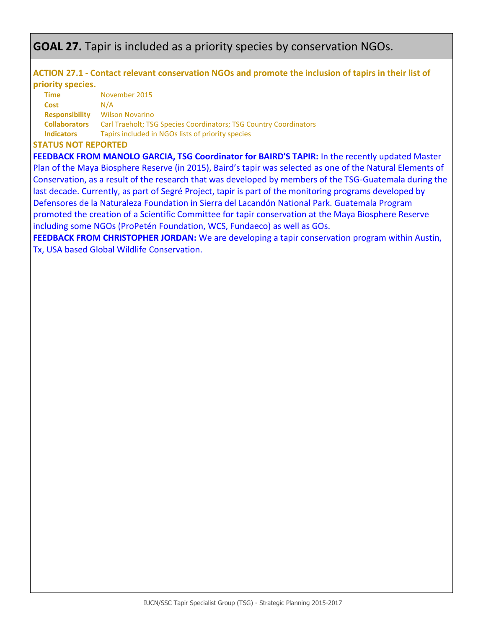# **GOAL 27.** Tapir is included as a priority species by conservation NGOs.

# **ACTION 27.1 - Contact relevant conservation NGOs and promote the inclusion of tapirs in their list of priority species.**

| <b>Time</b>           | November 2015                                                     |
|-----------------------|-------------------------------------------------------------------|
| <b>Cost</b>           | N/A                                                               |
| <b>Responsibility</b> | <b>Wilson Novarino</b>                                            |
| <b>Collaborators</b>  | Carl Traeholt: TSG Species Coordinators: TSG Country Coordinators |
| <b>Indicators</b>     | Tapirs included in NGOs lists of priority species                 |

### **STATUS NOT REPORTED**

**FEEDBACK FROM MANOLO GARCIA, TSG Coordinator for BAIRD'S TAPIR:** In the recently updated Master Plan of the Maya Biosphere Reserve (in 2015), Baird's tapir was selected as one of the Natural Elements of Conservation, as a result of the research that was developed by members of the TSG-Guatemala during the last decade. Currently, as part of Segré Project, tapir is part of the monitoring programs developed by Defensores de la Naturaleza Foundation in Sierra del Lacandón National Park. Guatemala Program promoted the creation of a Scientific Committee for tapir conservation at the Maya Biosphere Reserve including some NGOs (ProPetén Foundation, WCS, Fundaeco) as well as GOs.

**FEEDBACK FROM CHRISTOPHER JORDAN:** We are developing a tapir conservation program within Austin, Tx, USA based Global Wildlife Conservation.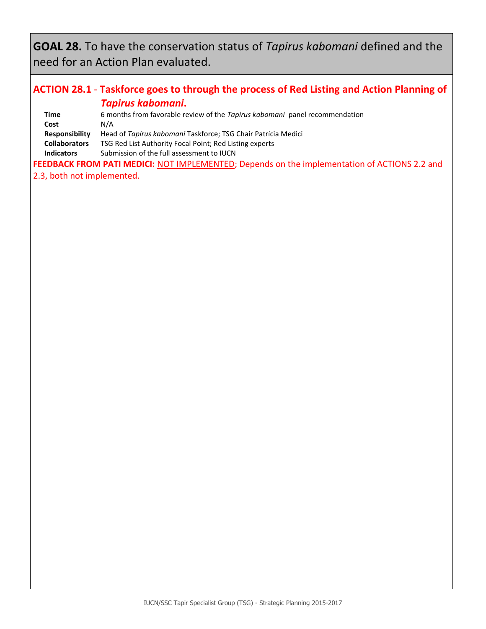**GOAL 28.** To have the conservation status of *Tapirus kabomani* defined and the need for an Action Plan evaluated.

# **ACTION 28.1** - **Taskforce goes to through the process of Red Listing and Action Planning of**  *Tapirus kabomani***.**

| Time                  | 6 months from favorable review of the Tapirus kabomani panel recommendation |  |
|-----------------------|-----------------------------------------------------------------------------|--|
| Cost                  | N/A                                                                         |  |
| <b>Responsibility</b> | Head of Tapirus kabomani Taskforce; TSG Chair Patrícia Medici               |  |
| <b>Collaborators</b>  | TSG Red List Authority Focal Point; Red Listing experts                     |  |
| <b>Indicators</b>     | Submission of the full assessment to IUCN                                   |  |

FEEDBACK FROM PATI MEDICI: NOT IMPLEMENTED; Depends on the implementation of ACTIONS 2.2 and 2.3, both not implemented.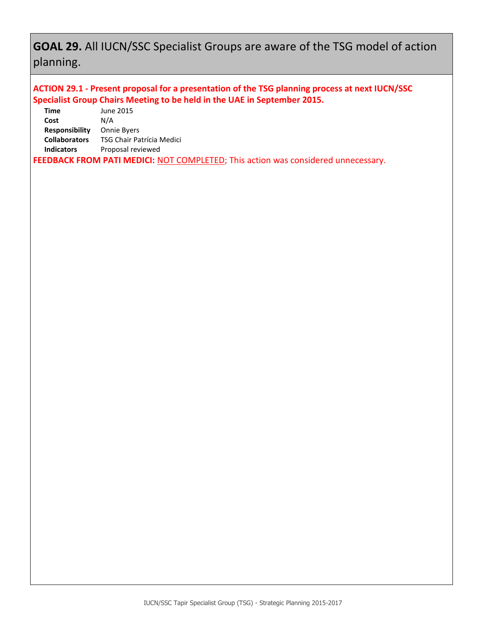# **GOAL 29.** All IUCN/SSC Specialist Groups are aware of the TSG model of action planning.

# **ACTION 29.1 - Present proposal for a presentation of the TSG planning process at next IUCN/SSC Specialist Group Chairs Meeting to be held in the UAE in September 2015.**

| Time                 | June 2015                 |
|----------------------|---------------------------|
| Cost                 | N/A                       |
| Responsibility       | <b>Onnie Byers</b>        |
| <b>Collaborators</b> | TSG Chair Patrícia Medici |
| <b>Indicators</b>    | Proposal reviewed         |
|                      |                           |

**FEEDBACK FROM PATI MEDICI:** NOT COMPLETED; This action was considered unnecessary.